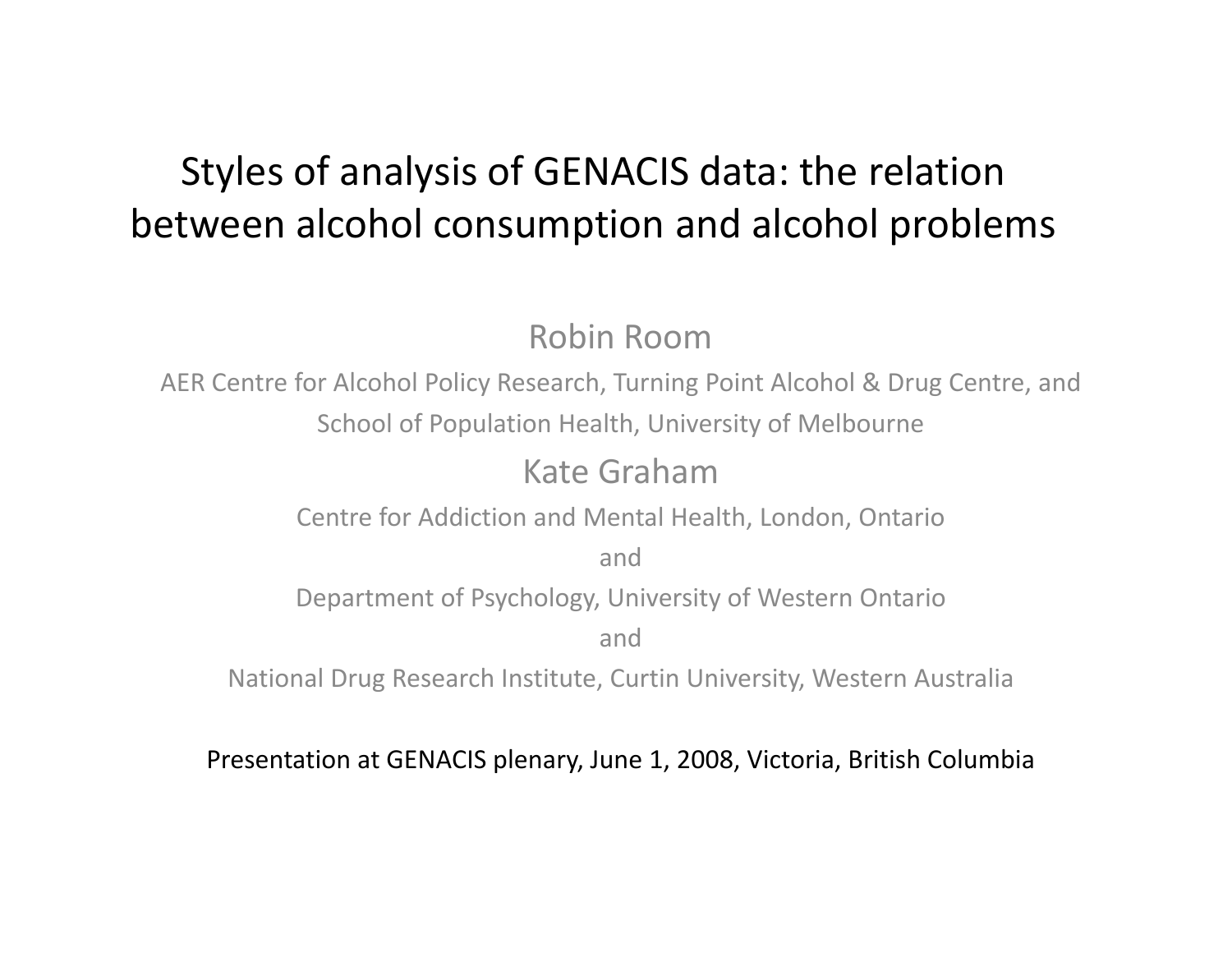# Styles of analysis of GENACIS data: the relation between alcohol consumption and alcohol problems

Robin Room

AER Centre for Alcohol Policy Research, Turning Point Alcohol & Drug Centre, and School of Population Health, University of Melbourne

## Kate Graham

Centre for Addiction and Mental Health, London, Ontario

and

Department of Psychology, University of Western Ontario

and

National Drug Research Institute, Curtin University, Western Australia

Presentation at GENACIS plenary, June 1, 2008, Victoria, British Columbia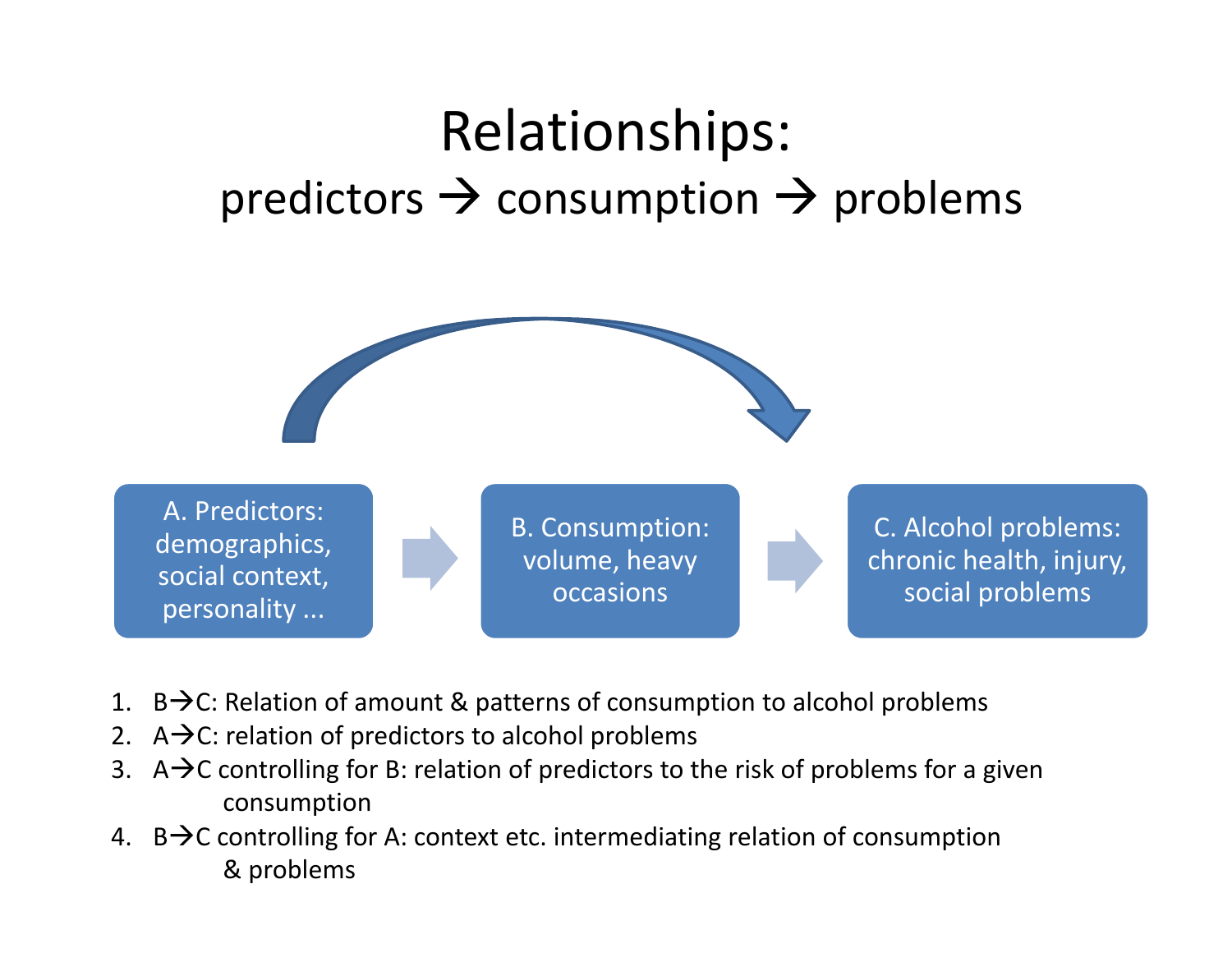# Relationships: predictors  $\rightarrow$  consumption  $\rightarrow$  problems



- 1. B $\rightarrow$ C: Relation of amount & patterns of consumption to alcohol problems
- 2.  $A\rightarrow C$ : relation of predictors to alcohol problems
- 3. A $\rightarrow$ C controlling for B: relation of predictors to the risk of problems for a given consumption
- 4. B $\rightarrow$ C controlling for A: context etc. intermediating relation of consumption & problems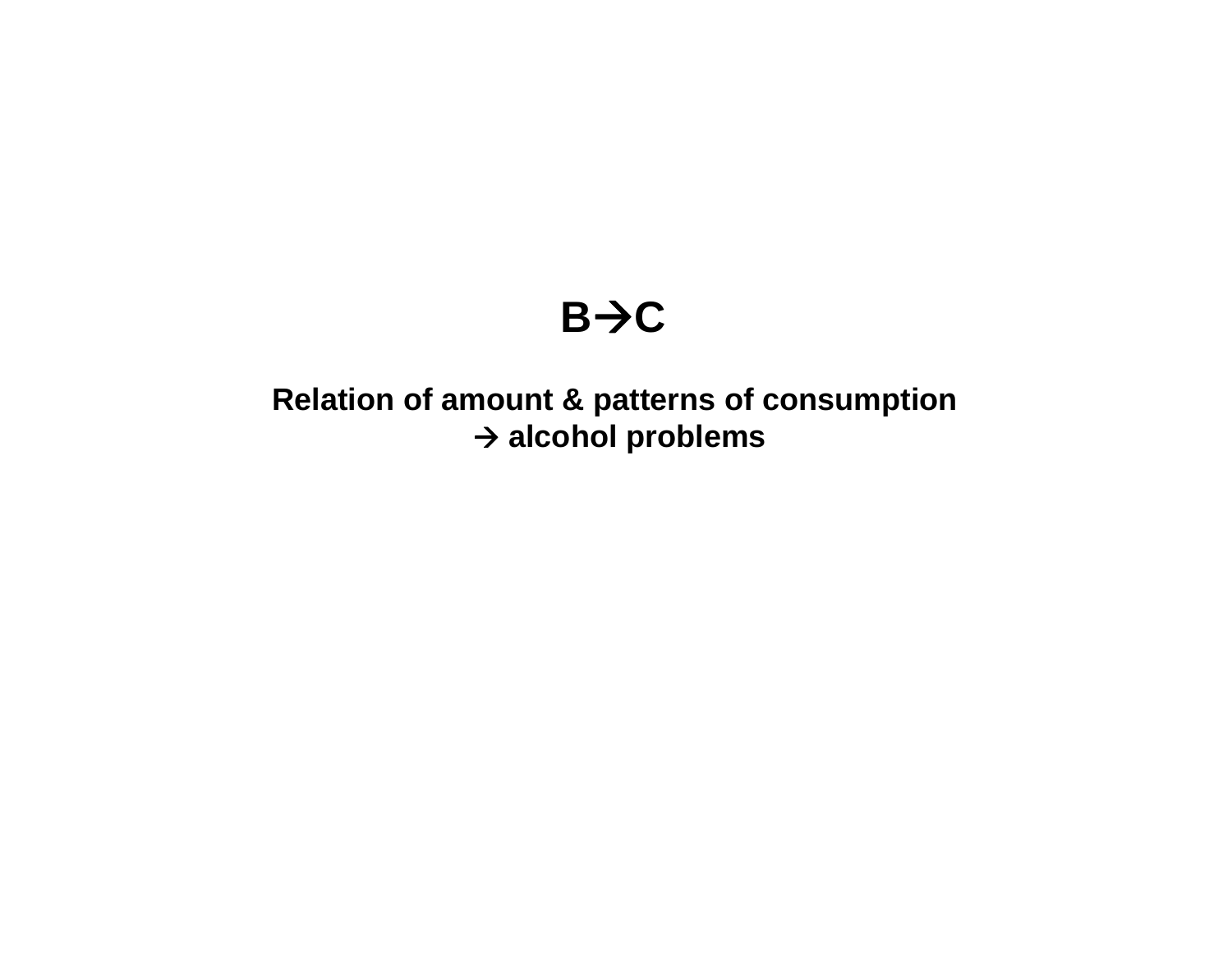# $B \rightarrow C$

## **Relation of amount & patterns of consumption alcohol problems**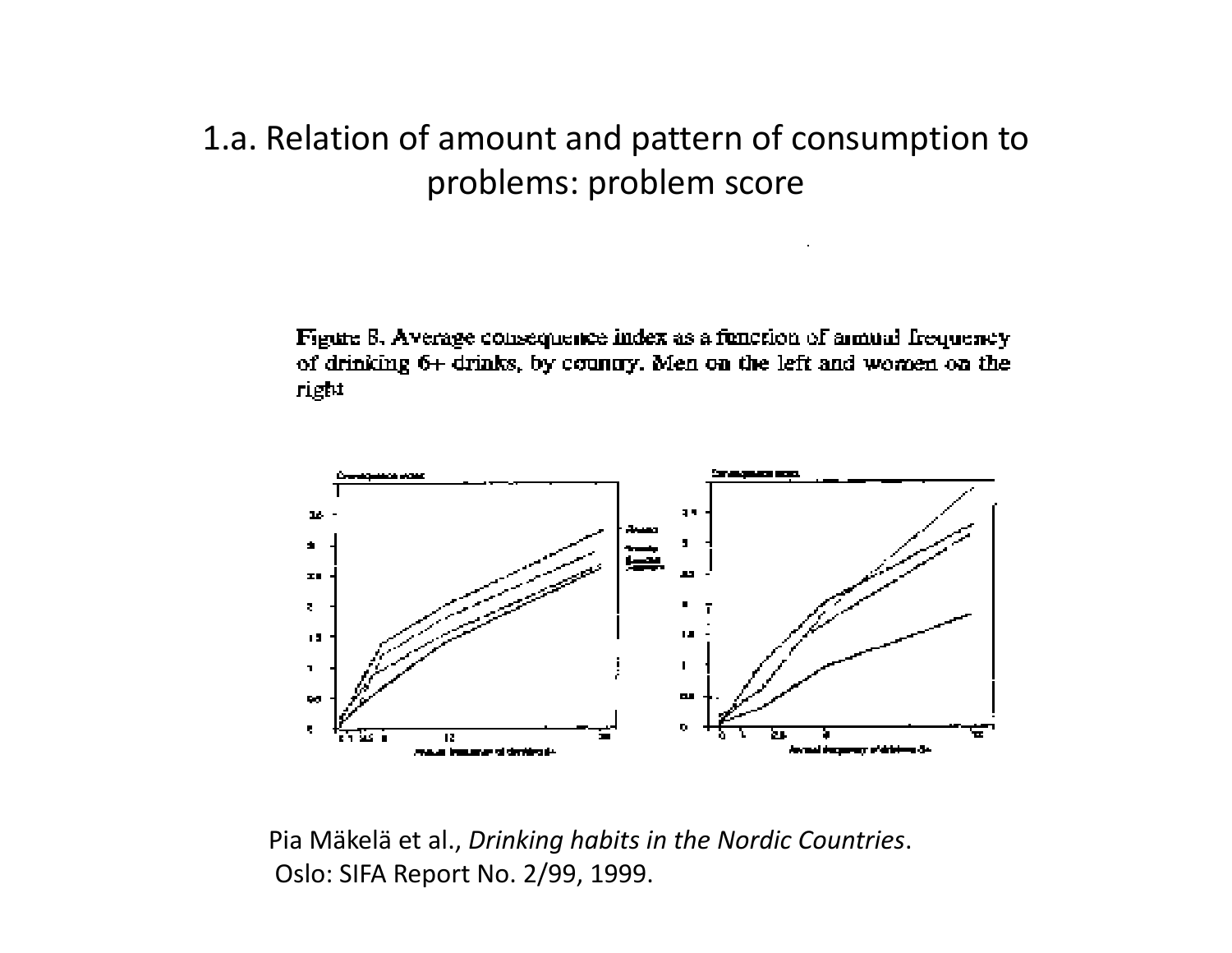# 1.a. Relation of amount and pattern of consumption to problems: problem score

Figure 8. Average consequence index as a function of aimum frequency of drinking 6+ drinks, by country. Men on the left and women on the right



Pia Mäkelä et al., *Drinking habits in the Nordic Countries*. Oslo: SIFA Report No. 2/99, 1999.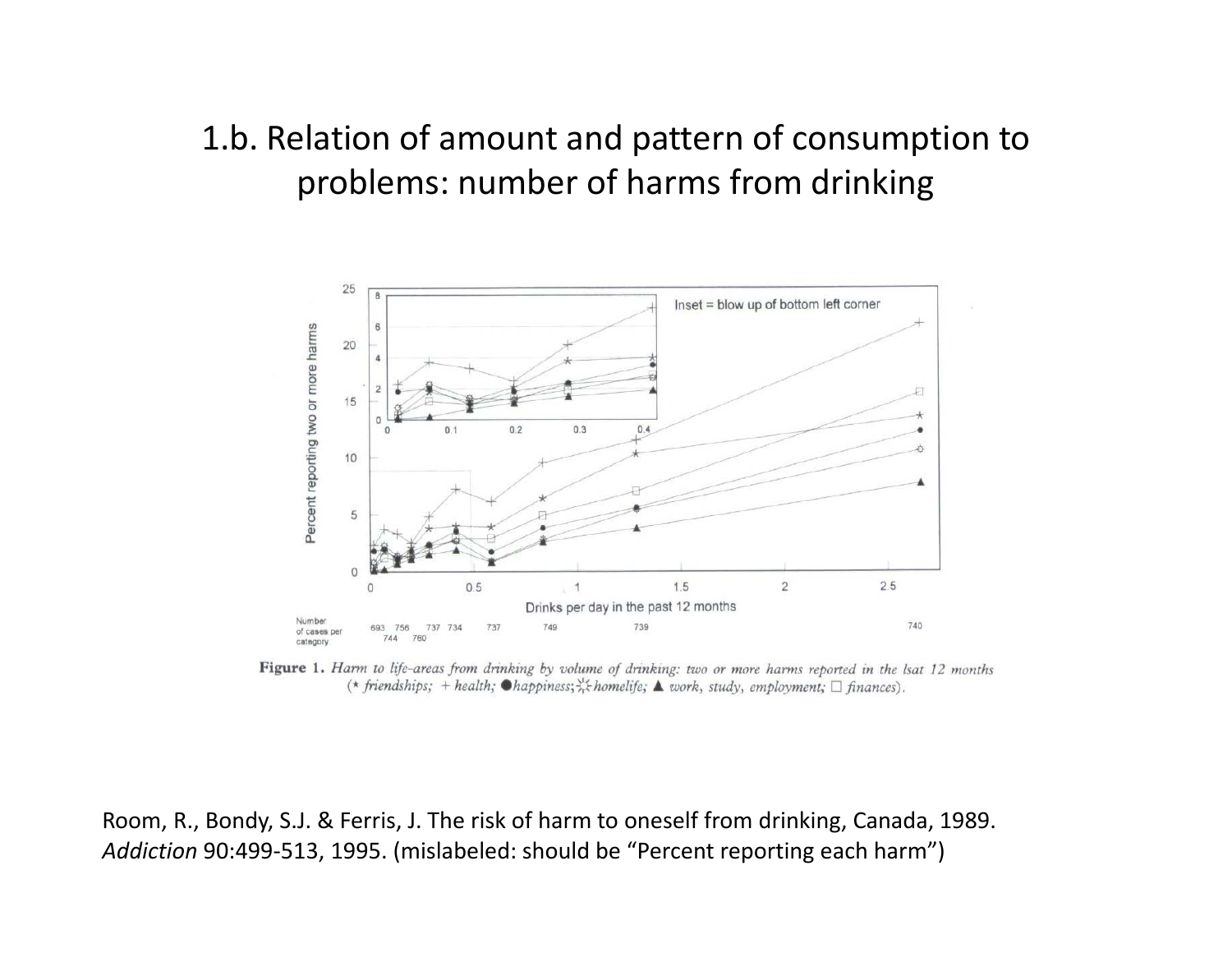# 1.b. Relation of amount and pattern of consumption to problems: number of harms from drinking



Figure 1. Harm to life-areas from drinking by volume of drinking: two or more harms reported in the lsat 12 months (\* friendships; + health;  $\bullet$ happiness;  $\frac{1}{2}$ k homelife;  $\blacktriangle$  work, study, employment;  $\Box$  finances).

Room, R., Bondy, S.J. & Ferris, J. The risk of harm to oneself from drinking, Canada, 1989. *Addiction* 90:499‐513, 1995. (mislabeled: should be "Percent reporting each harm")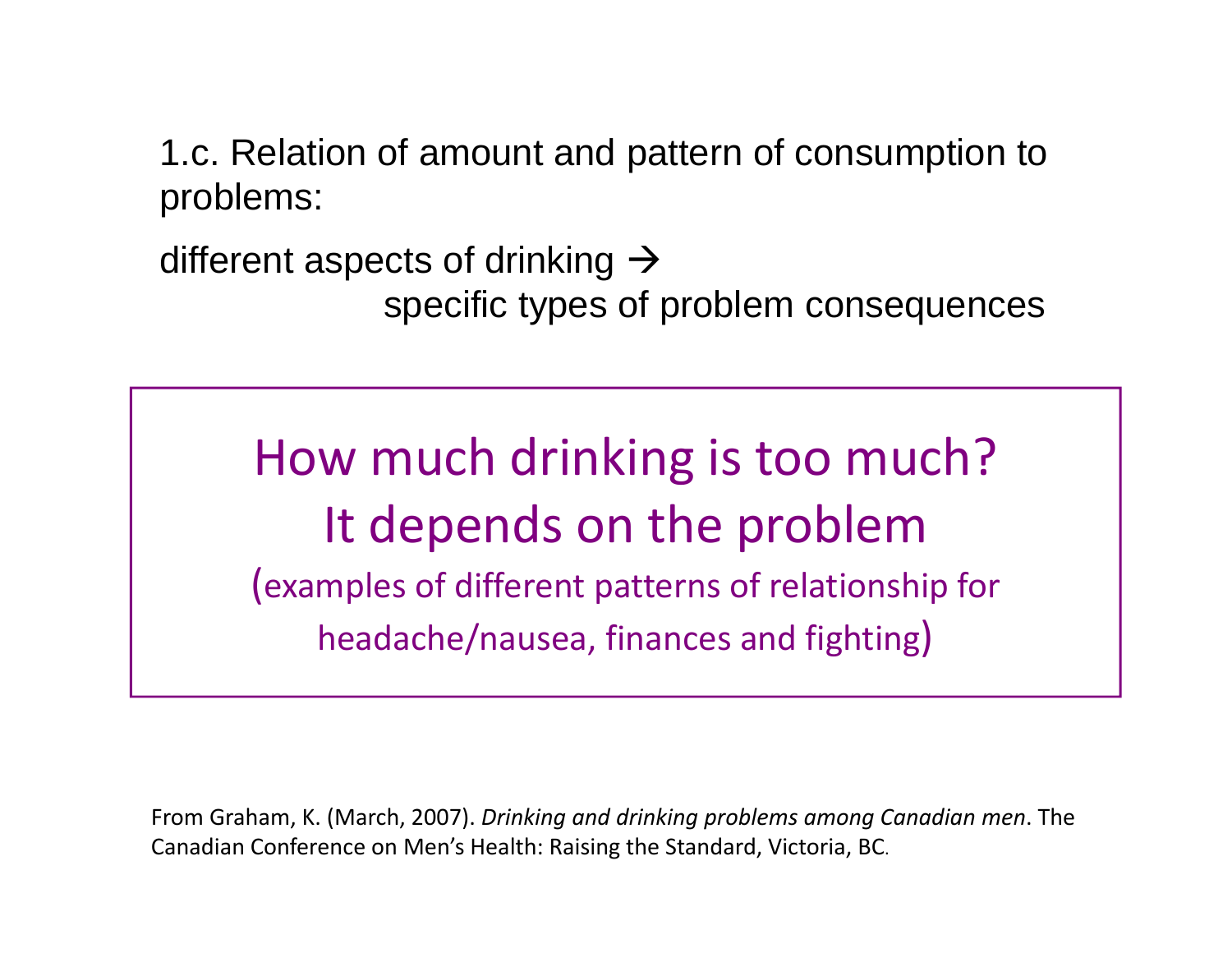1.c. Relation of amount and pattern of consumption to problems:

different aspects of drinking  $\rightarrow$ specific types of problem consequences

How much drinking is too much? It depends on the problem (examples of different patterns of relationship for headache/nausea, finances and fighting)

From Graham, K. (March, 2007). *Drinking and drinking problems among Canadian men*. The Canadian Conference on Men's Health: Raising the Standard, Victoria, BC.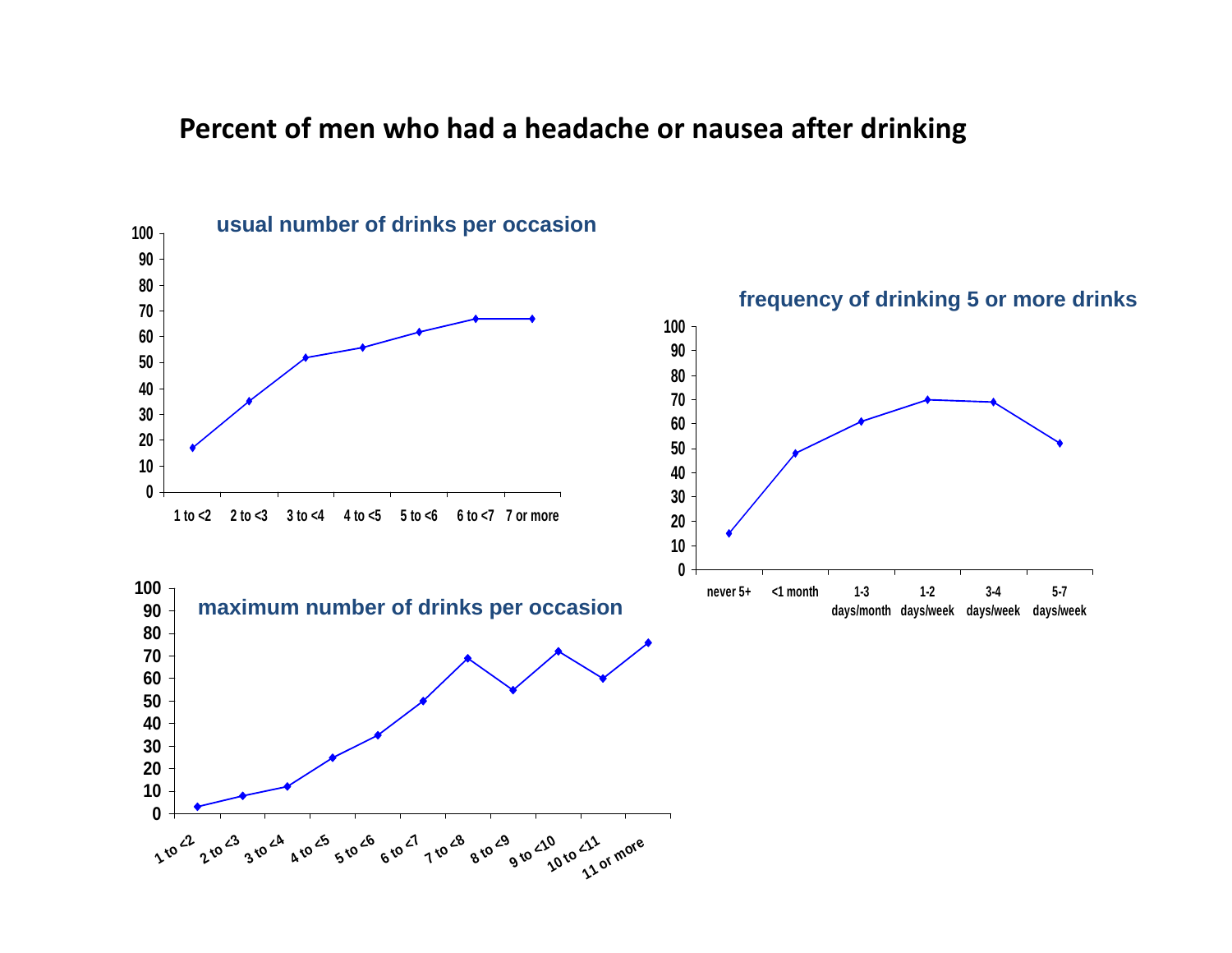#### **Percent of men who had <sup>a</sup> headache or nausea after drinking**

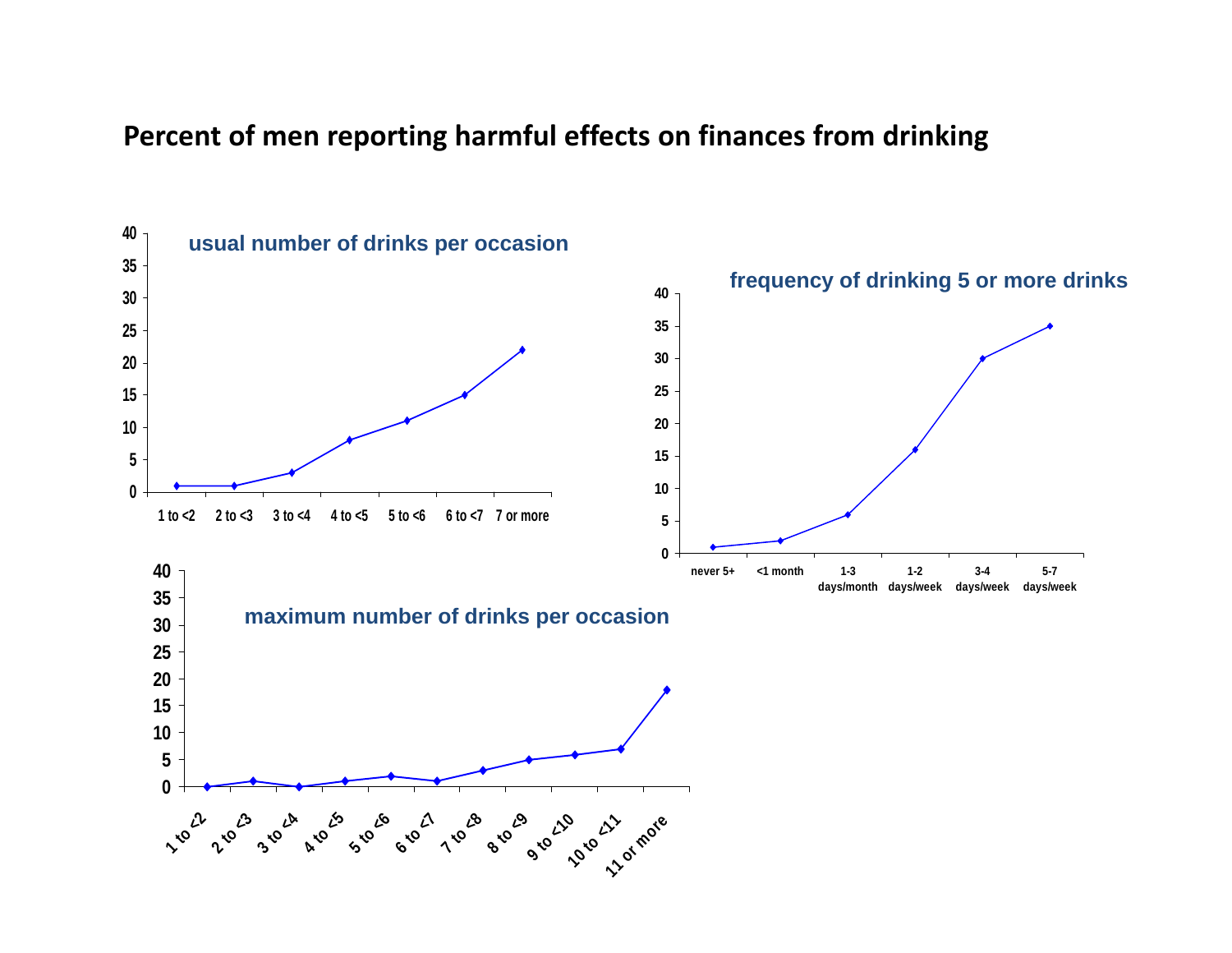#### **Percent of men reporting harmful effects on finances from drinking**

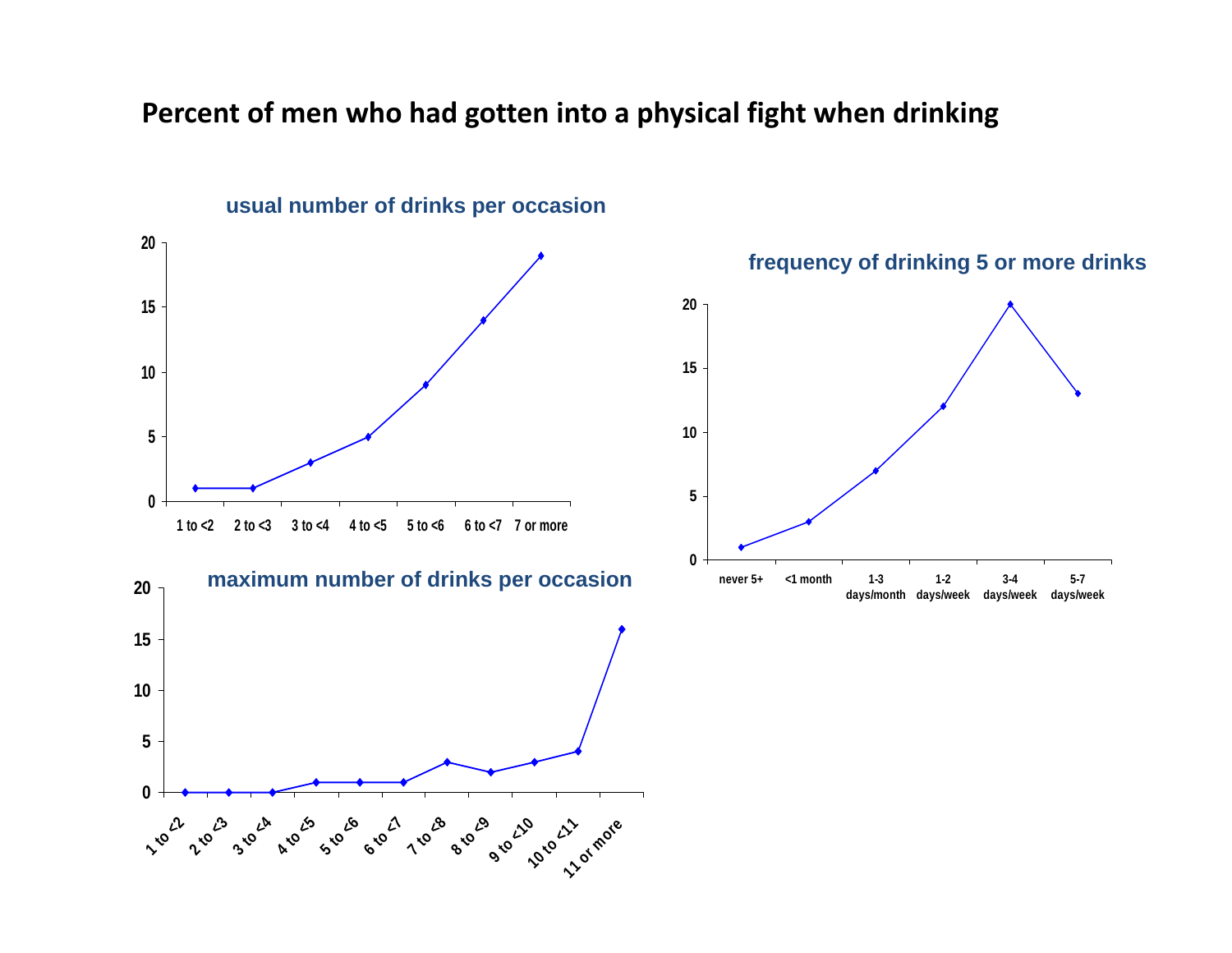#### **Percent of men who had gotten into <sup>a</sup> physical fight when drinking**

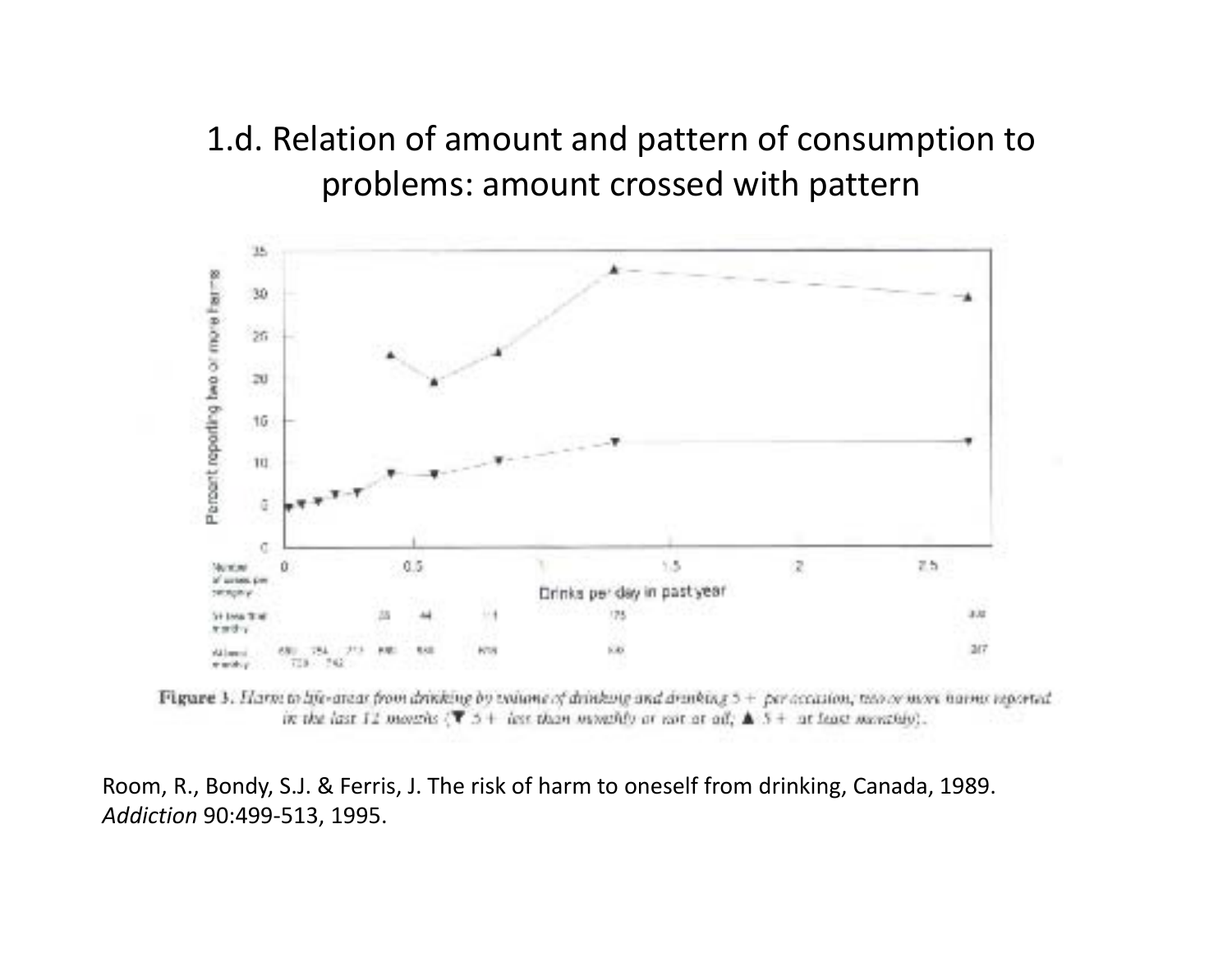# 1.d. Relation of amount and pattern of consumption to problems: amount crossed with pattern



**Figure 3.** Нати to life-areas from drinking by valume of drinking and drinking  $5 +$  per accasion, move move annual reported. in the last 12 months ( $\overline{T}$  5 + last than monthly or not at all,  $\triangle$  5 + at least monthly).

Room, R., Bondy, S.J. & Ferris, J. The risk of harm to oneself from drinking, Canada, 1989. *Addiction* 90:499‐513, 1995.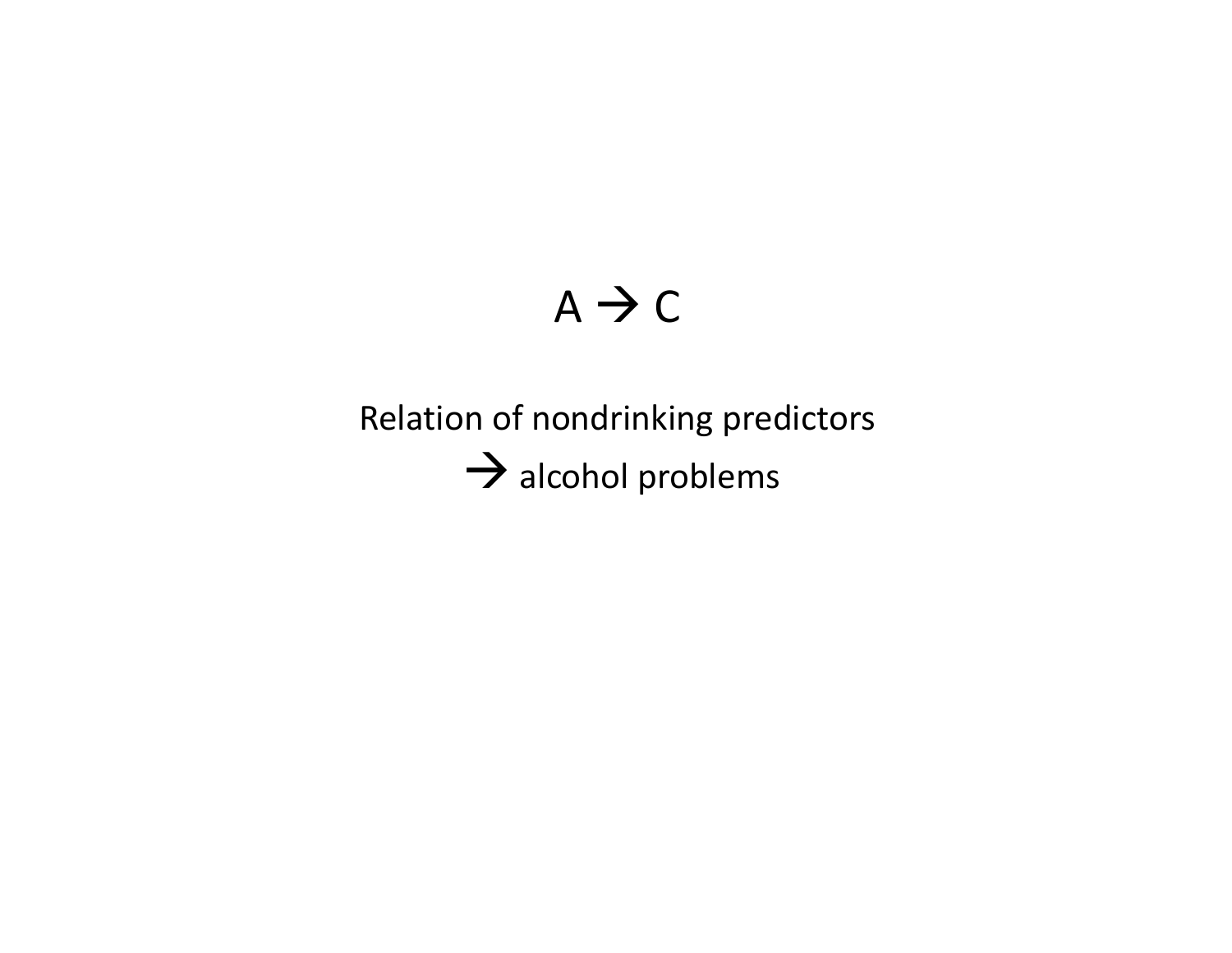# $A \rightarrow C$

# Relation of nondrinking predictors  $\rightarrow$  alcohol problems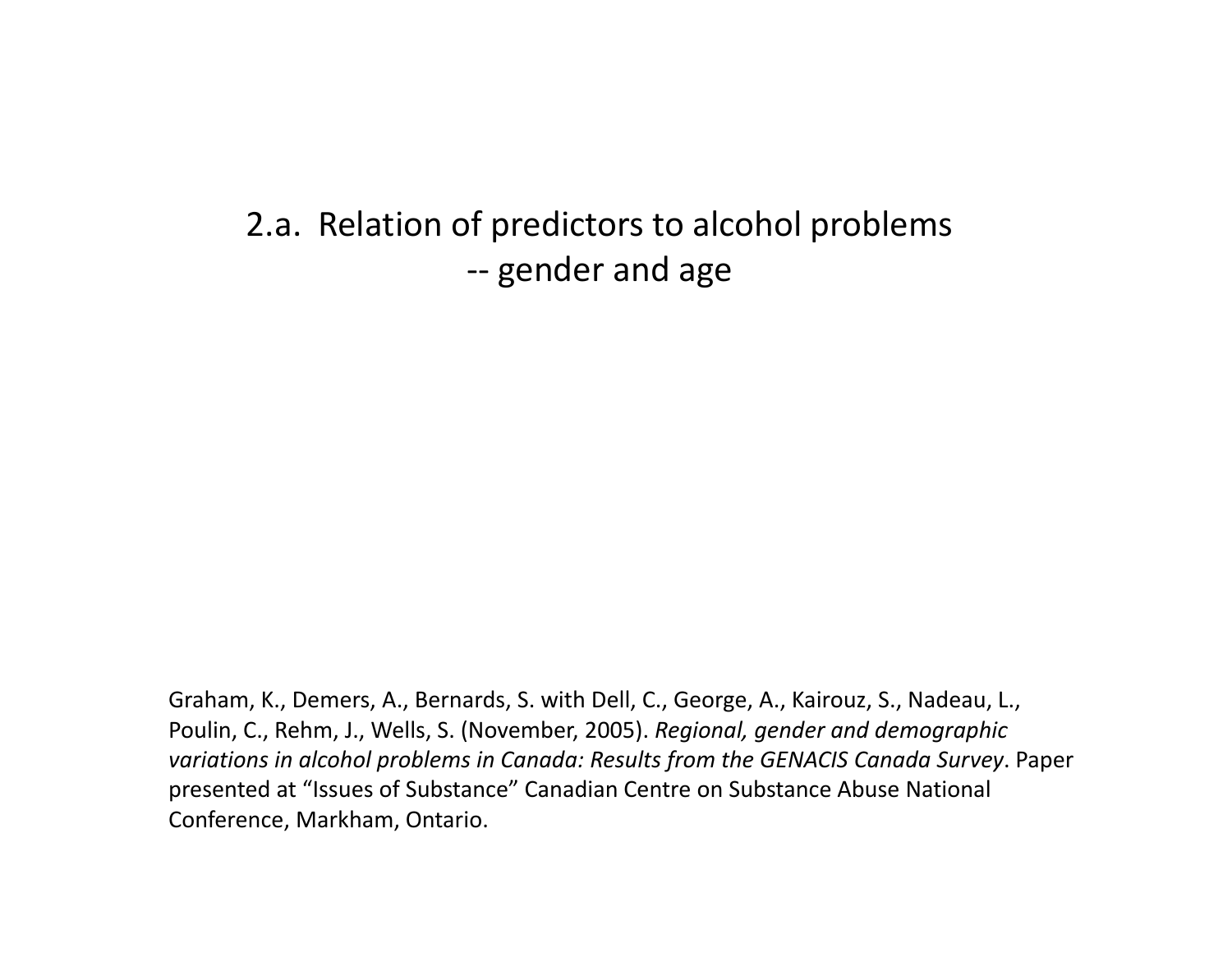2.a. Relation of predictors to alcohol problems ‐‐- gender and age

Graham, K., Demers, A., Bernards, S. with Dell, C., George, A., Kairouz, S., Nadeau, L., Poulin, C., Rehm, J., Wells, S. (November, 2005). *Regional, gender and demographic variations in alcohol problems in Canada: Results from the GENACIS Canada Survey*. Paper presented at "Issues of Substance" Canadian Centre on Substance Abuse National Conference, Markham, Ontario.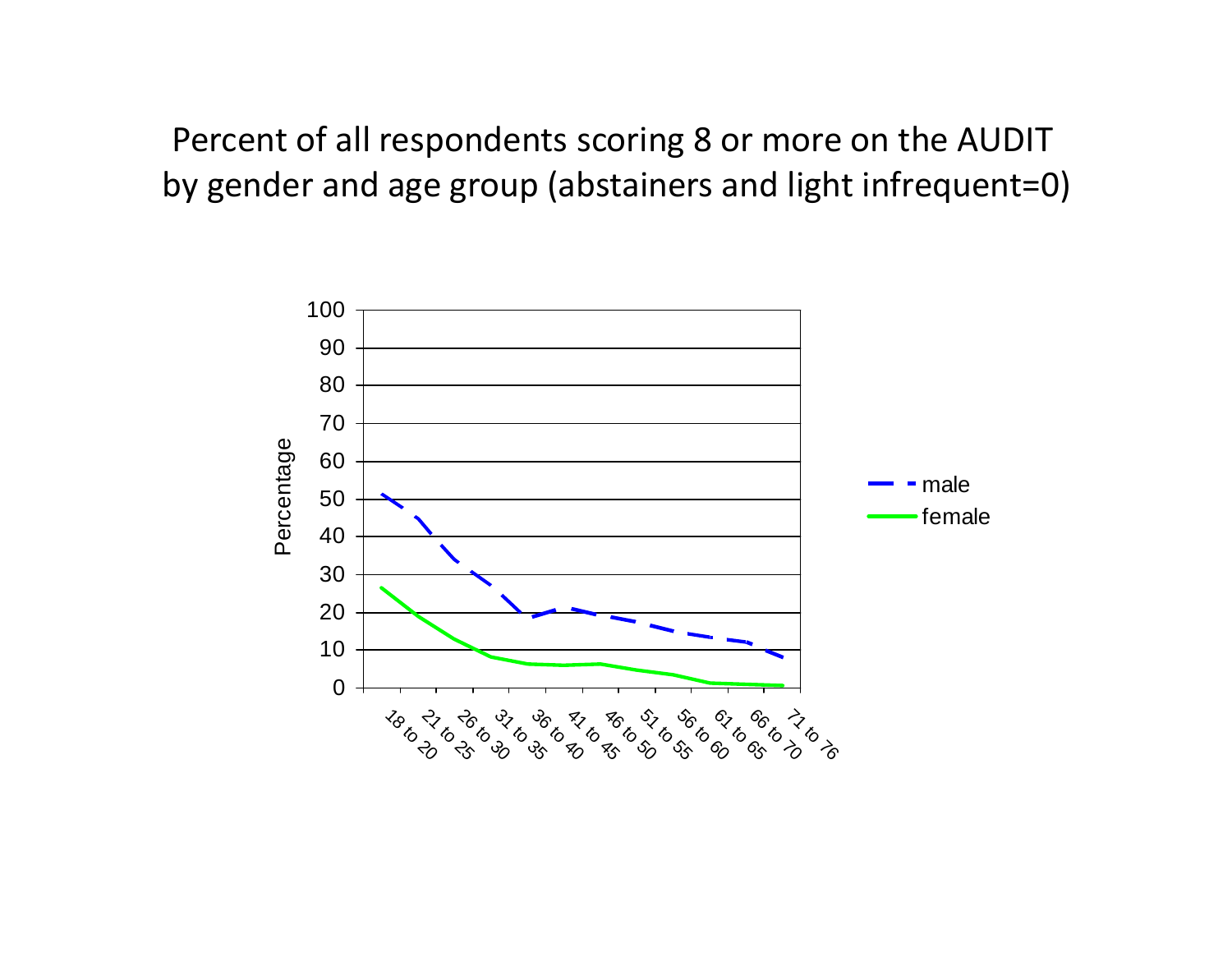Percent of all respondents scoring 8 or more on the AUDIT by gender and age group (abstainers and light infrequent=0)

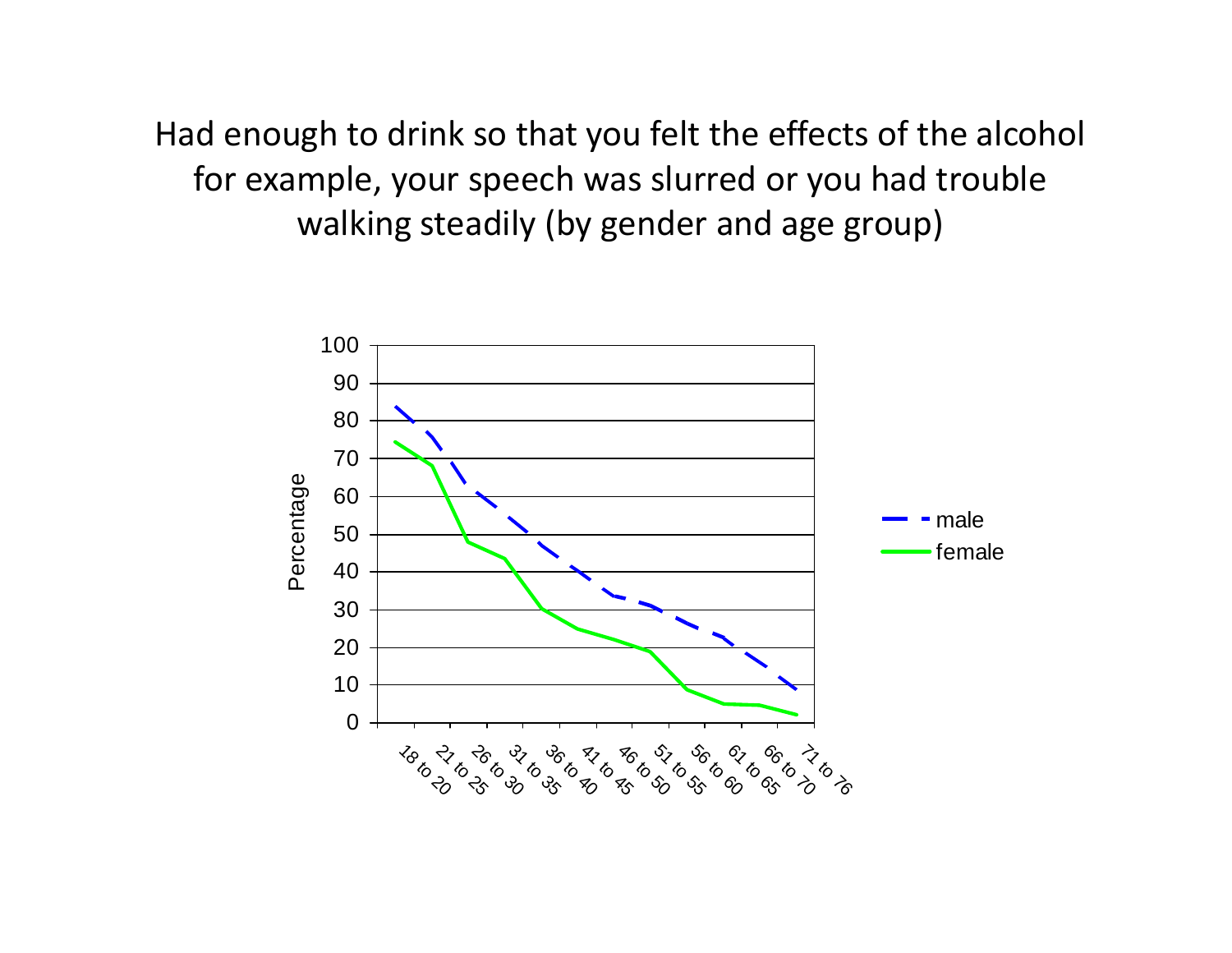Had enough to drink so that you felt the effects of the alcohol for example, your speech was slurred or you had trouble walking steadily (by gender and age group)

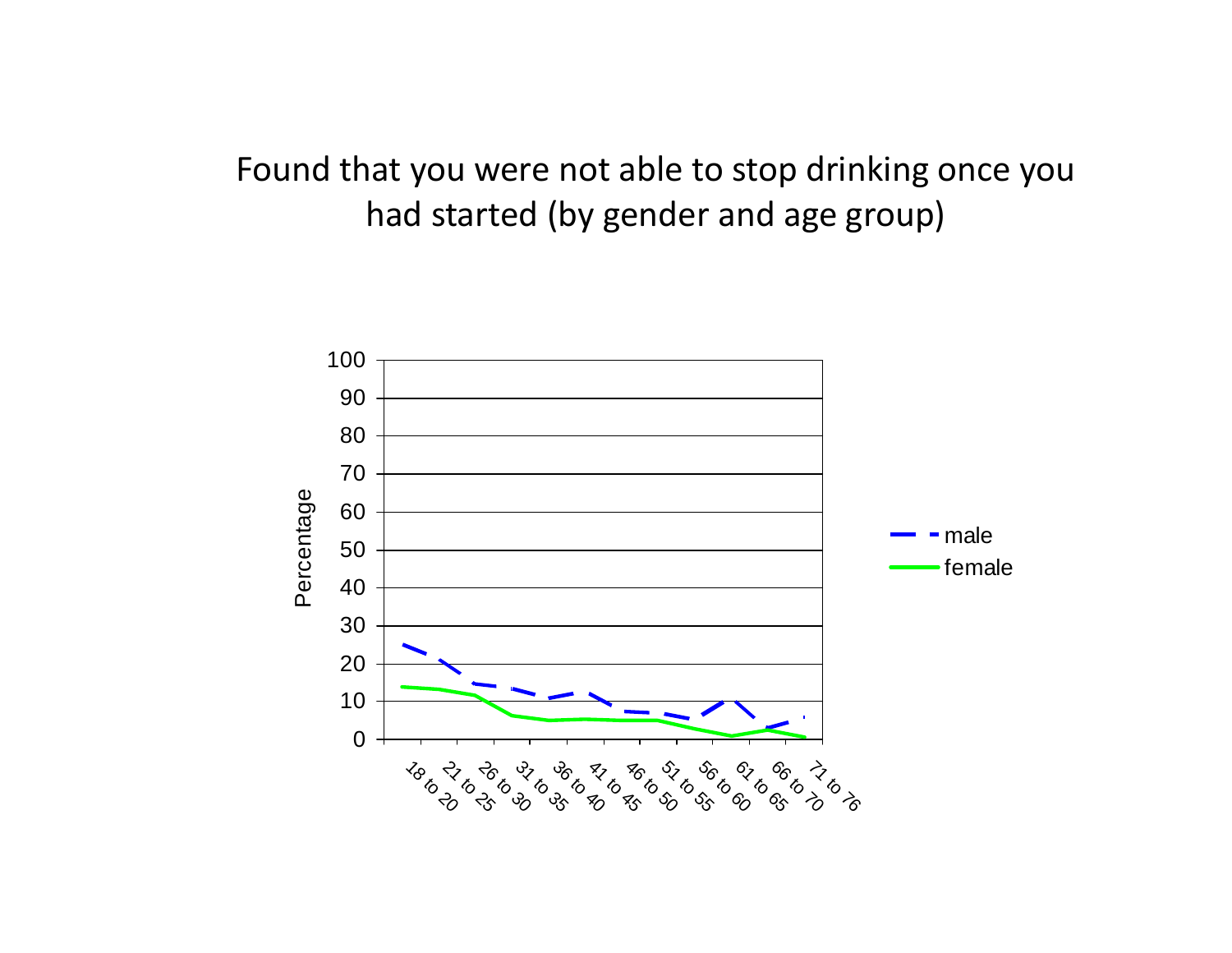# Found that you were not able to stop drinking once you had started (by gender and age group)

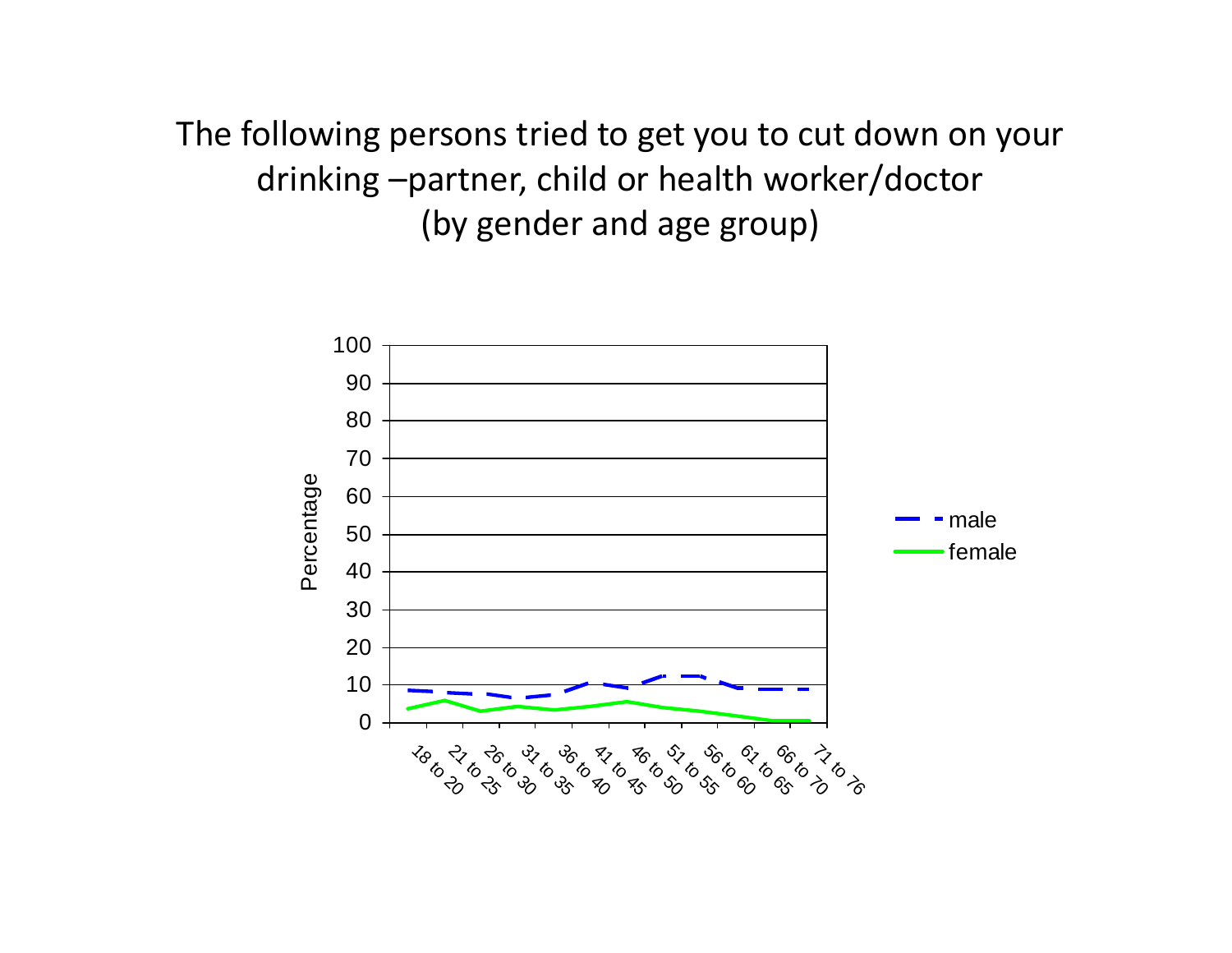The following persons tried to get you to cut down on your drinking –partner, child or health worker/doctor (by gender and age group)

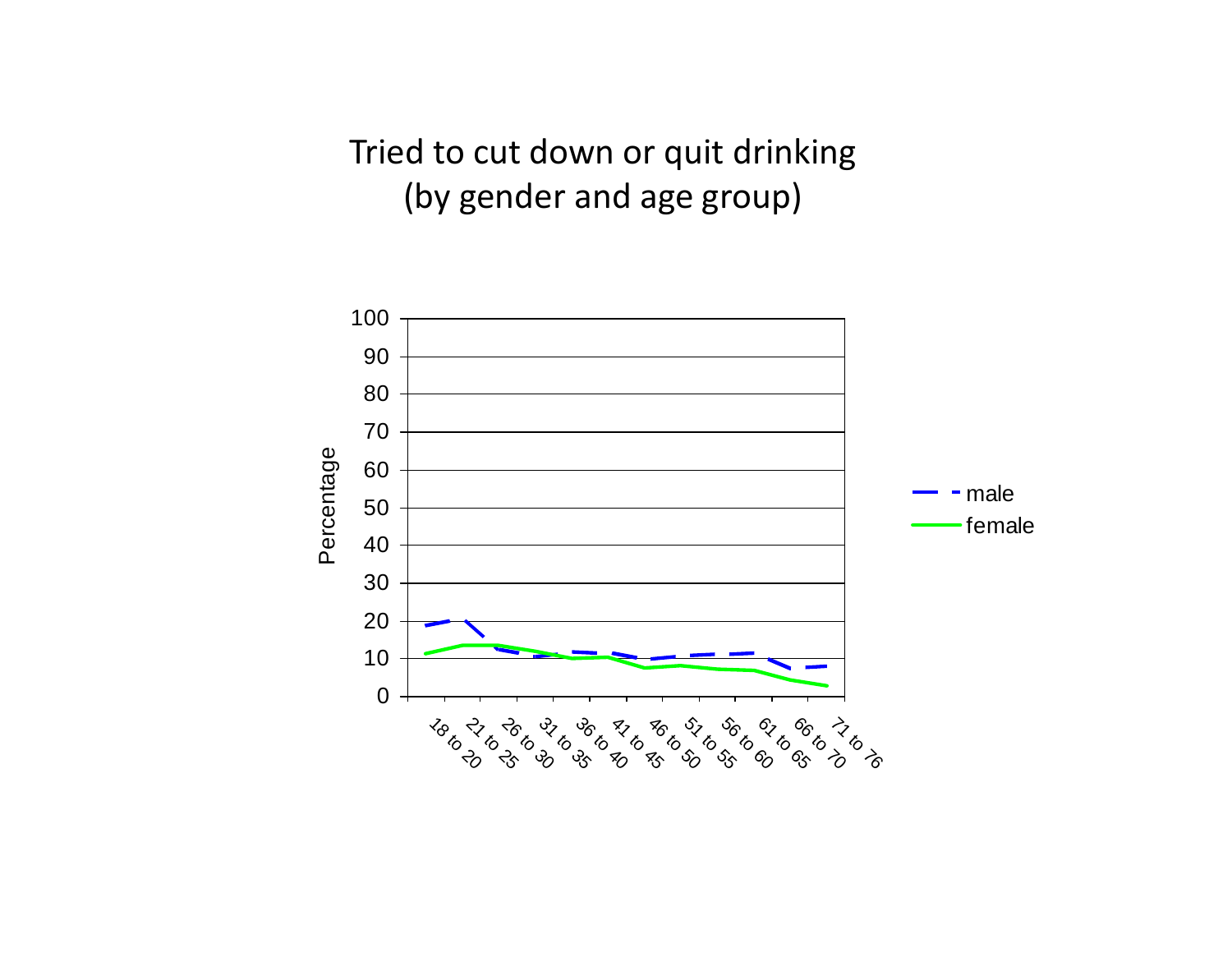Tried to cut down or quit drinking (by gender and age group)

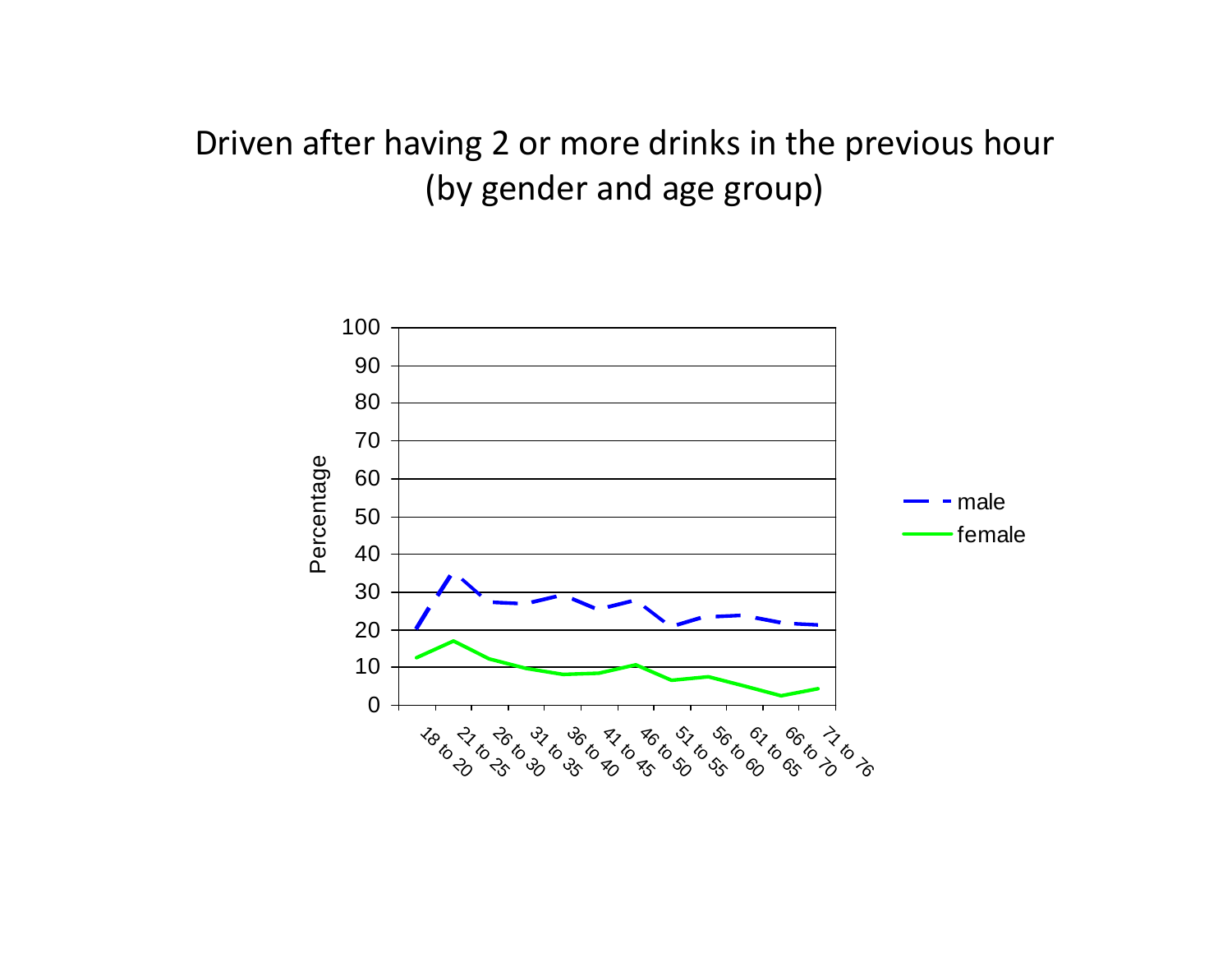# Driven after having 2 or more drinks in the previous hour (by gender and age group)

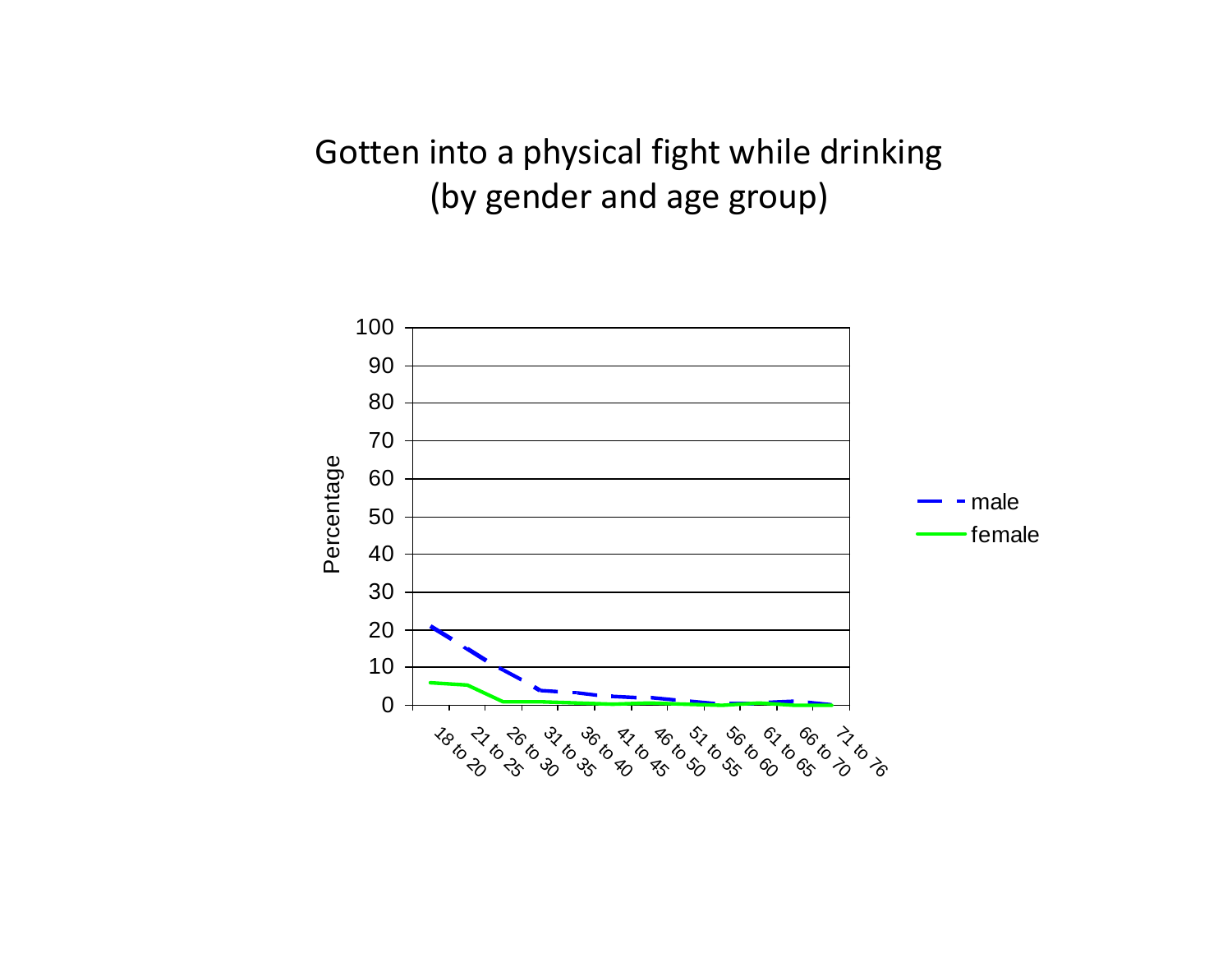# Gotten into <sup>a</sup> physical fight while drinking (by gender and age group)

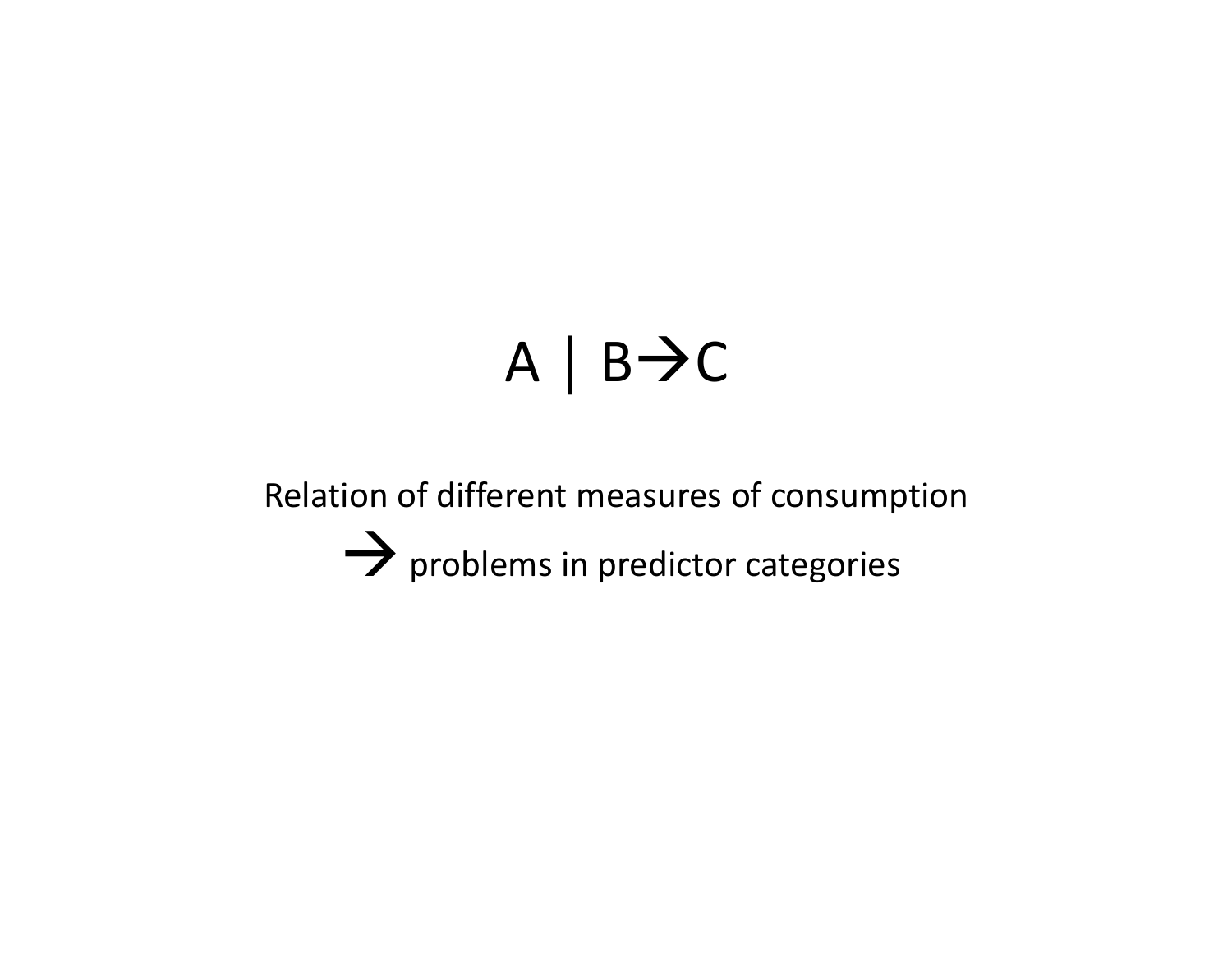# $A \mid B \rightarrow C$

Relation of different measures of consumption  $\rightarrow$  problems in predictor categories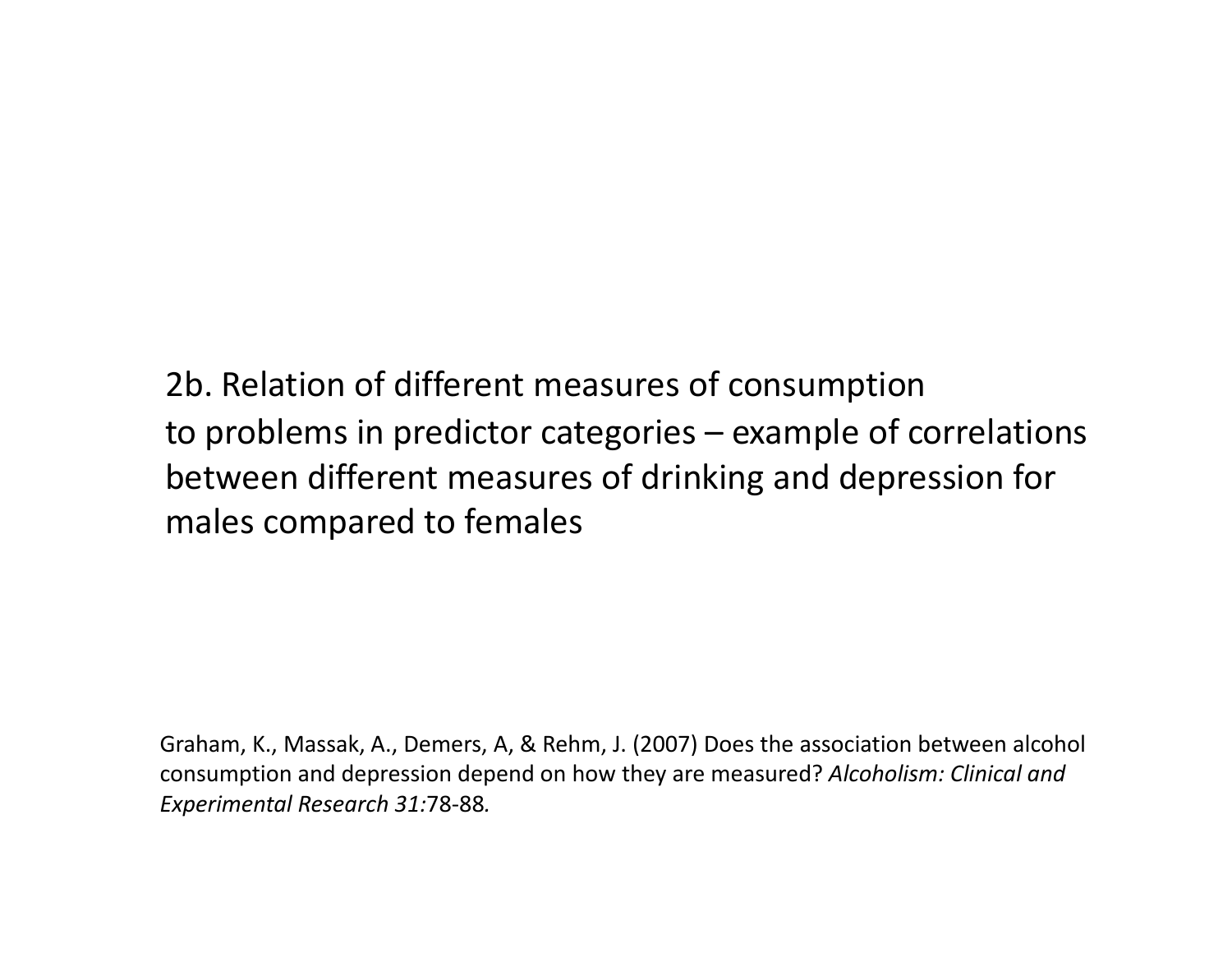2b. Relation of different measures of consumption to problems in predictor categories – example of correlations between different measures of drinking and depression for males compared to females

Graham, K., Massak, A., Demers, A, & Rehm, J. (2007) Does the association between alcohol consumption and depression depend on how they are measured? *Alcoholism: Clinical and Experimental Research 31:*78‐88*.*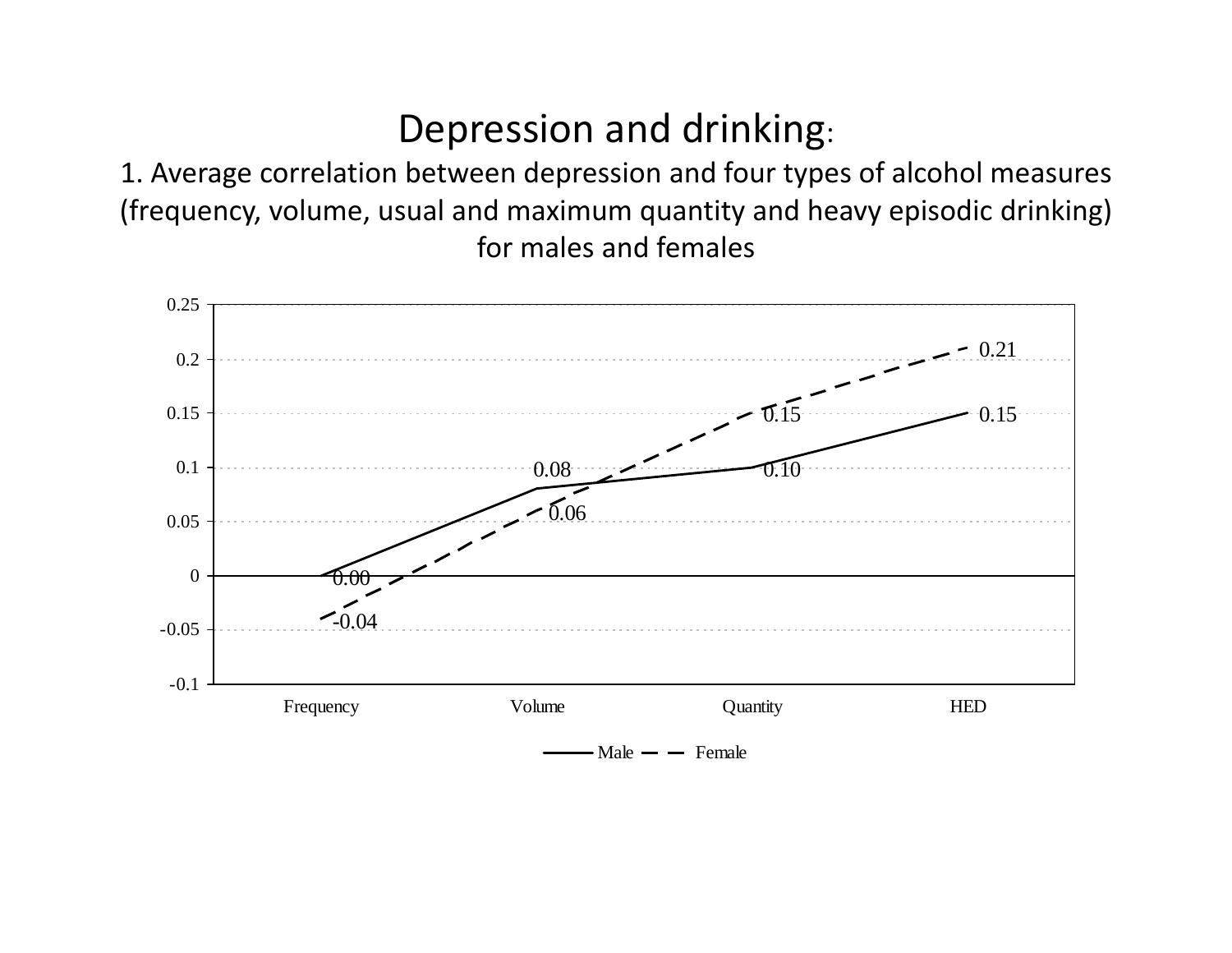# Depression and drinking:

1. Average correlation between depression and four types of alcohol measures (frequency, volume, usual and maximum quantity and heavy episodic drinking) for males and females

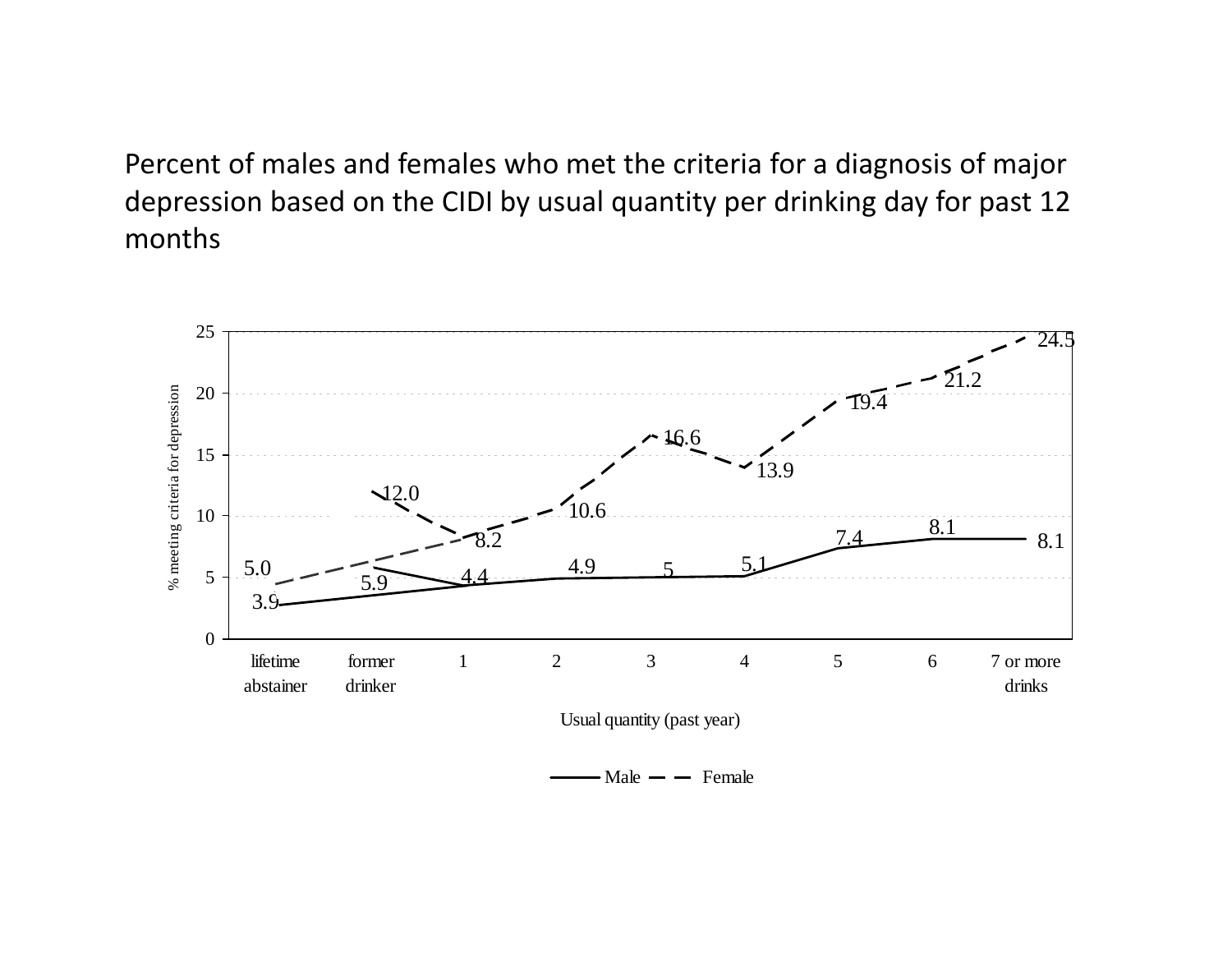Percent of males and females who met the criteria for <sup>a</sup> diagnosis of major depression based on the CIDI by usual quantity per drinking day for past 12 months



Male  $-$  Female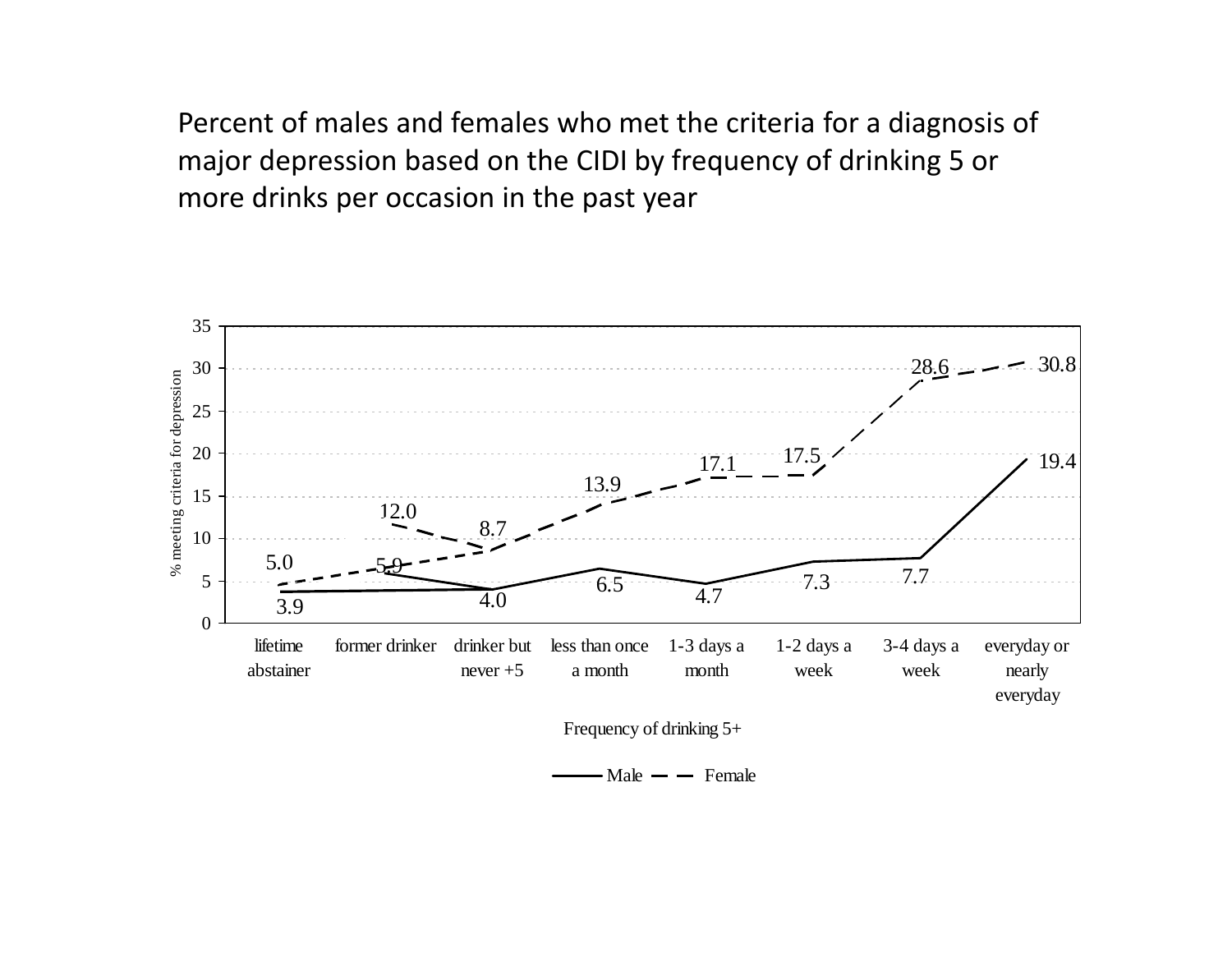Percent of males and females who met the criteria for <sup>a</sup> diagnosis of major depression based on the CIDI by frequency of drinking 5 or more drinks per occasion in the past year



Male  $-$  Female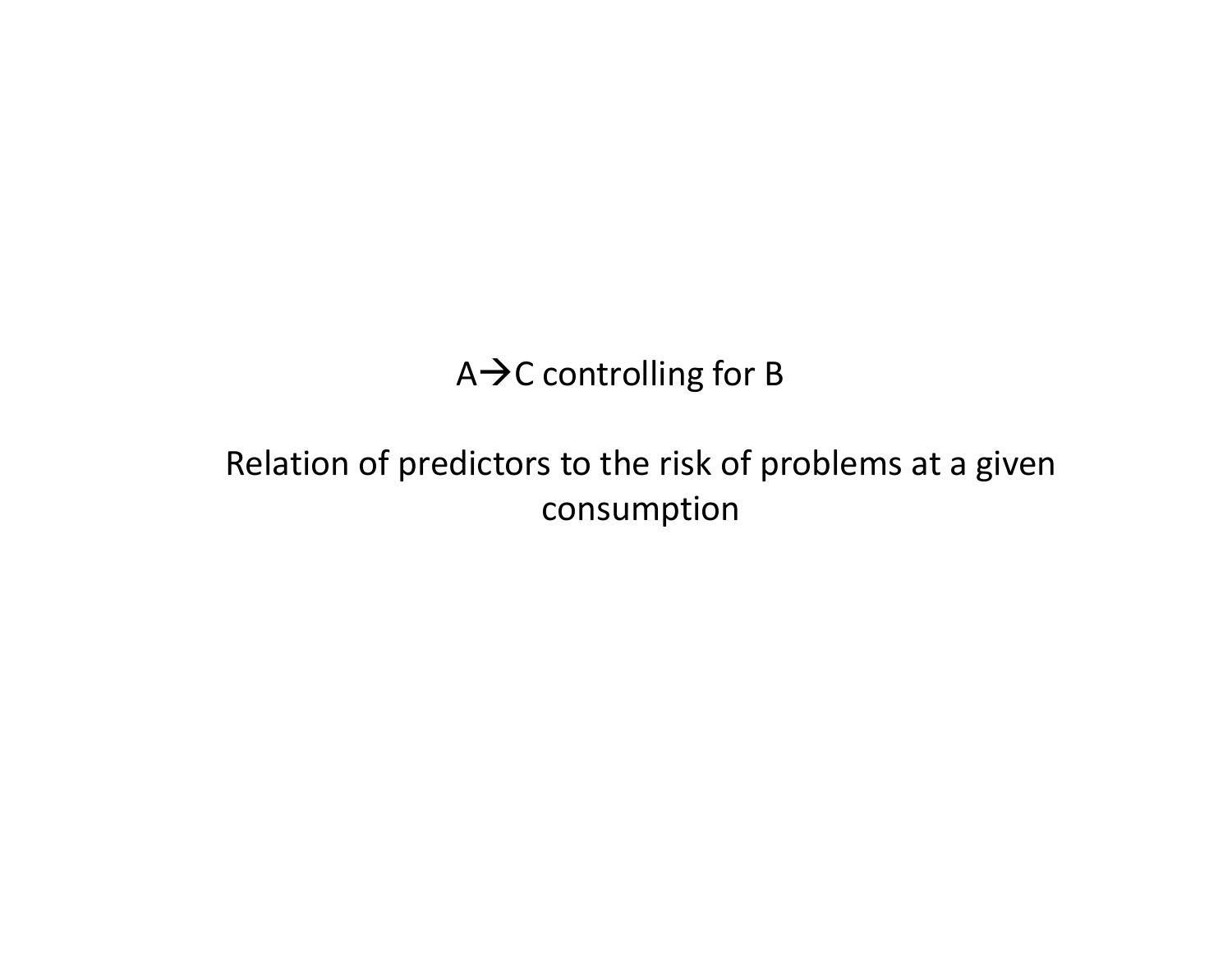# A $\bm{\rightarrow}$ C controlling for B

# Relation of predictors to the risk of problems at <sup>a</sup> given consumption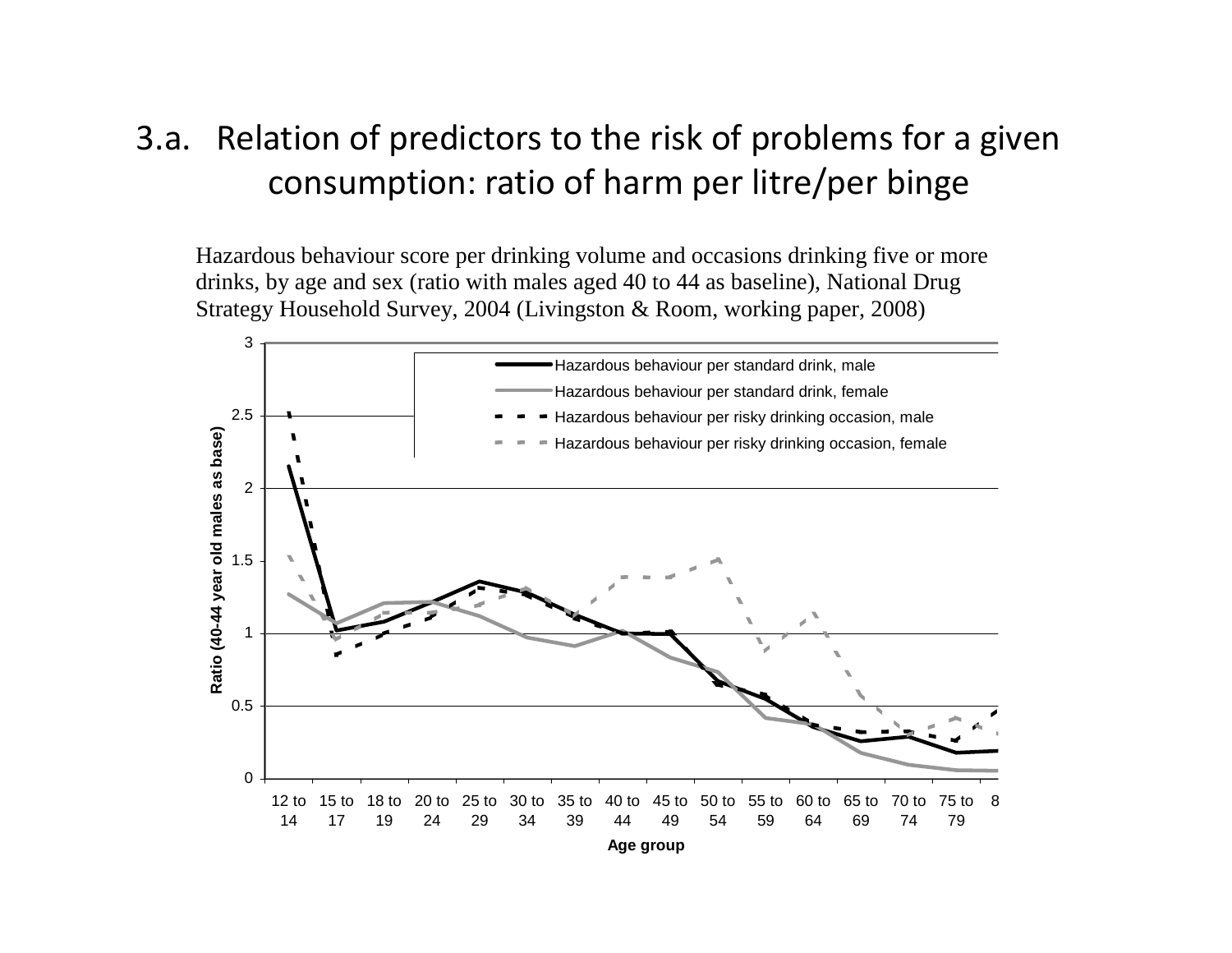# 3.a. Relation of predictors to the risk of problems for <sup>a</sup> given consumption: ratio of harm per litre/per binge

Hazardous behaviour score per drinking volume and occasions drinking five or more drinks, by age and sex (ratio with males aged 40 to 44 as baseline), National Drug Strategy Household Survey, 2004 (Livingston & Room, working paper, 2008)

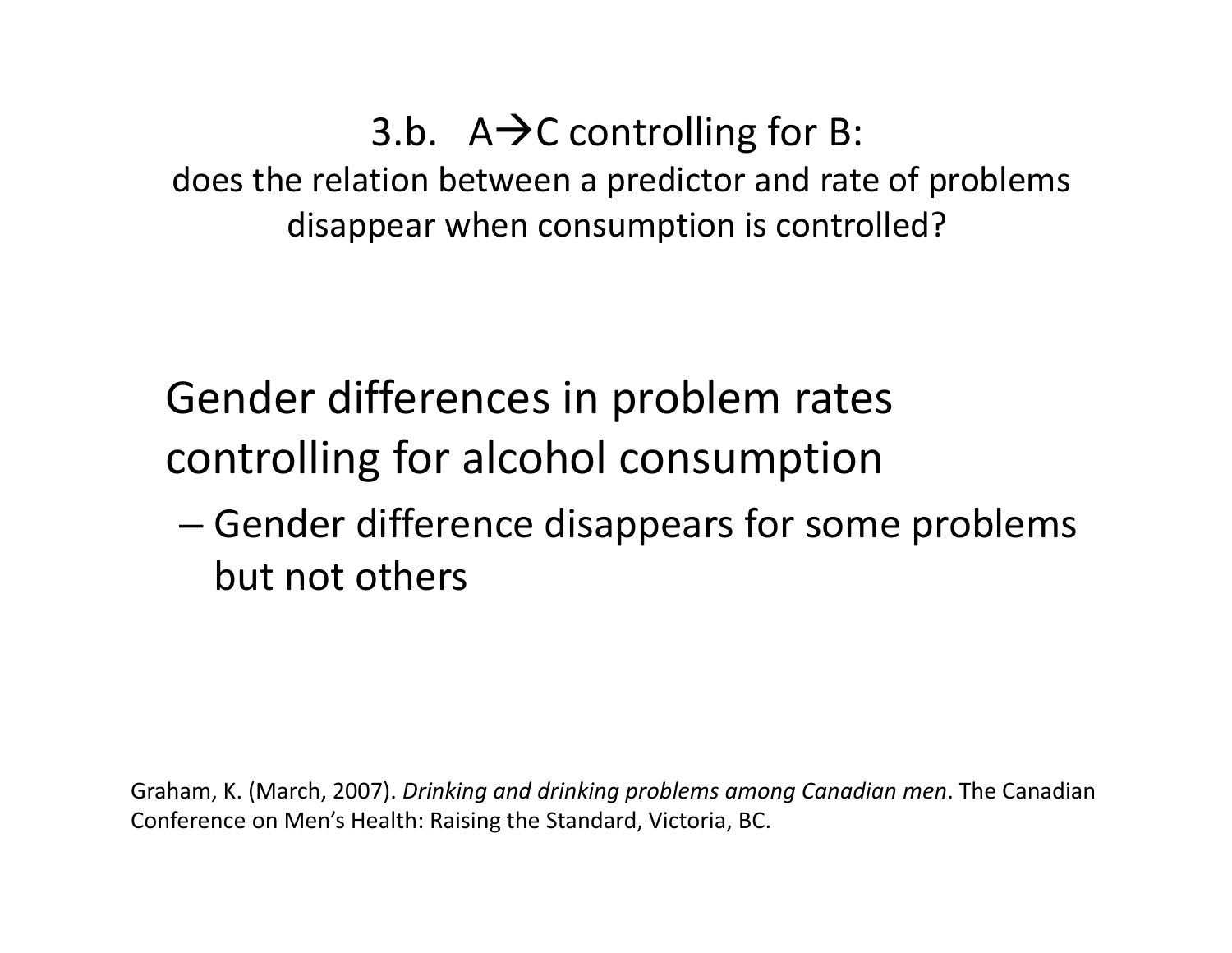3.b.  $A\rightarrow C$  controlling for B: does the relation between <sup>a</sup> predictor and rate of problems disappear when consumption is controlled?

Gender differences in problem rates controlling for alcohol consumption

– $-$  Gender difference disappears for some problems but not others

Graham, K. (March, 2007). *Drinking and drinking problems among Canadian men*. The Canadian Conference on Men's Health: Raising the Standard, Victoria, BC.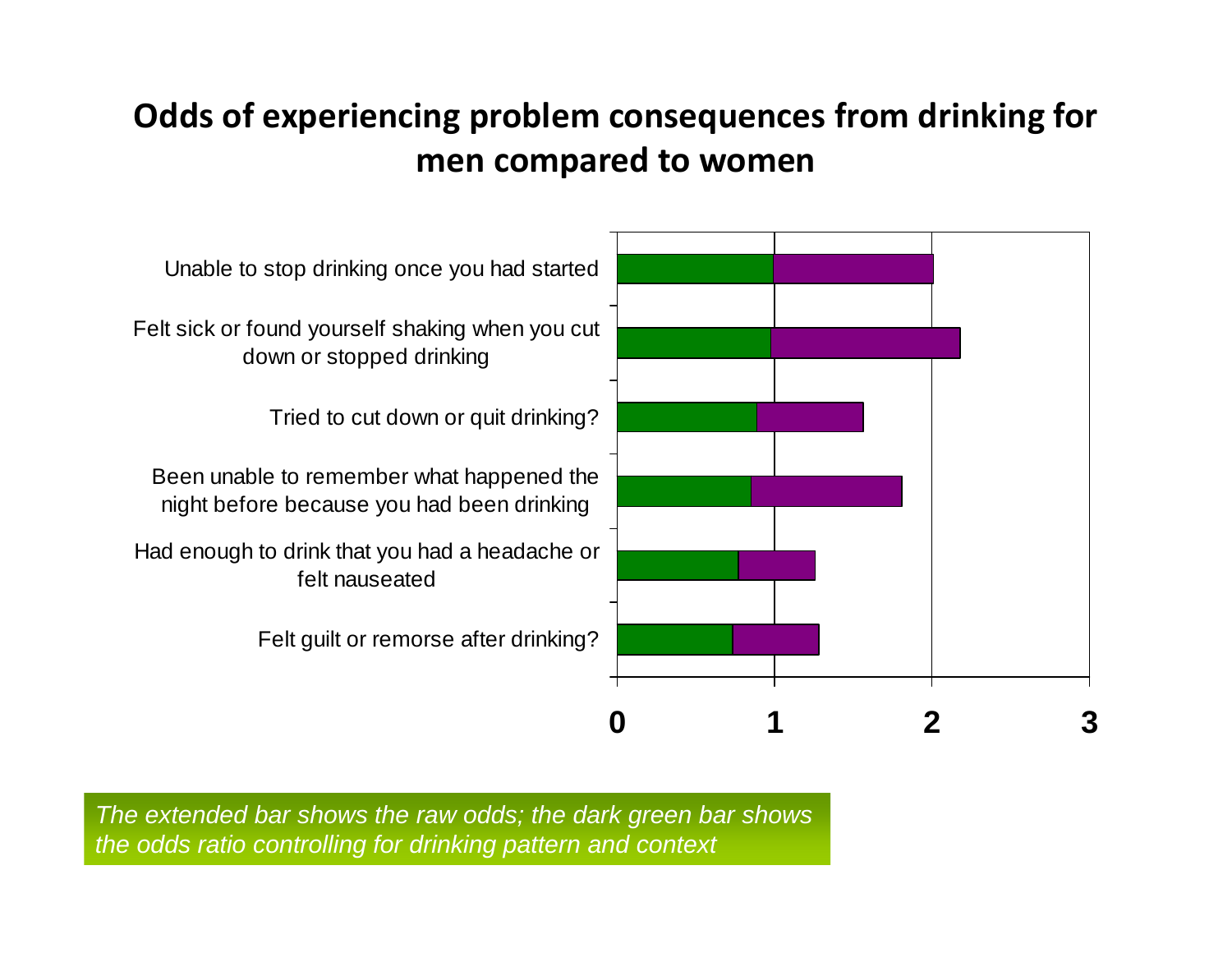# **Odds of experiencing problem consequences from drinking for men compared to women**



*The extended bar shows the raw odds; the dark green bar shows the odds ratio controlling for drinking pattern and context*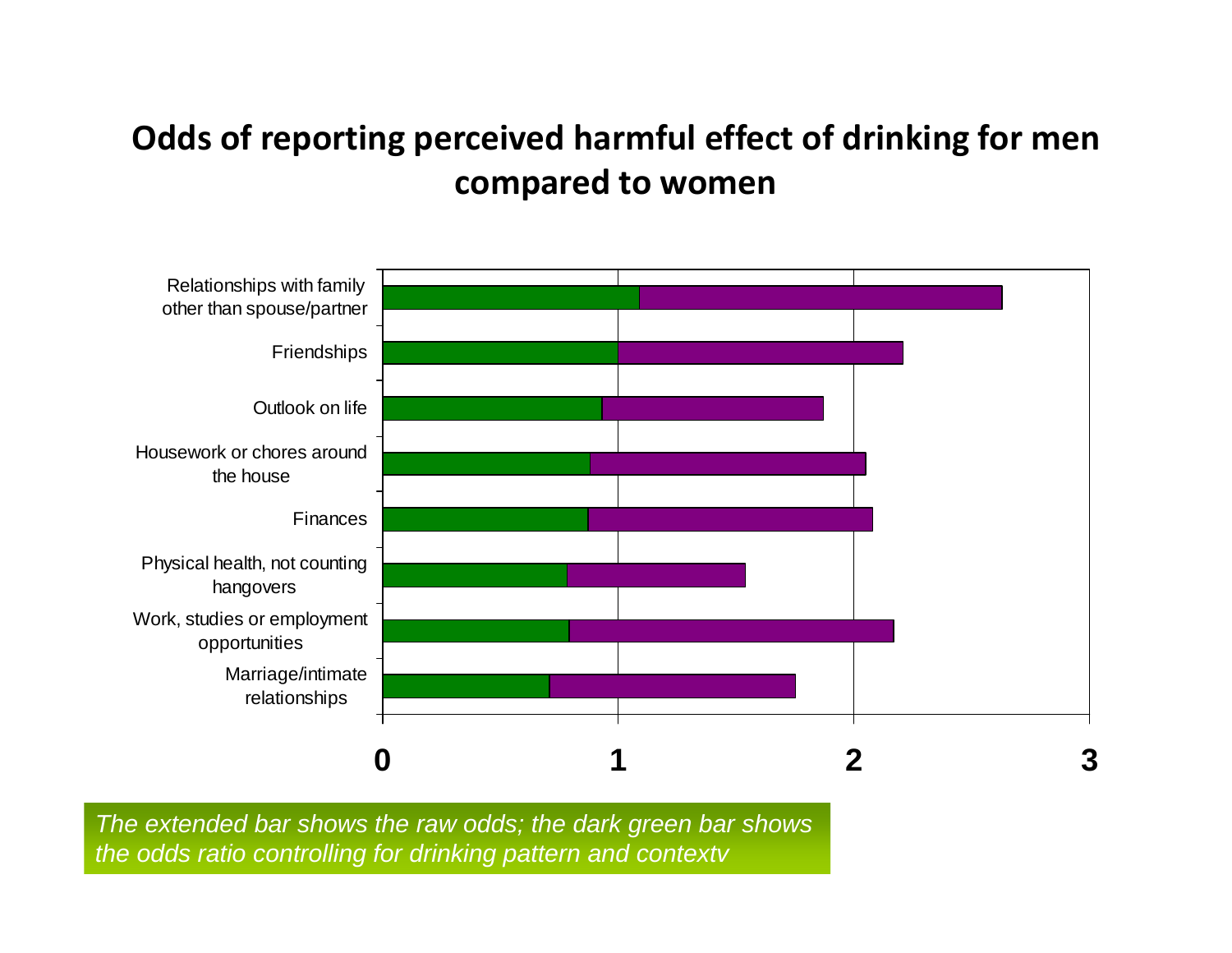# **Odds of reporting perceived harmful effect of drinking for men compared to women**



*The extended bar shows the raw odds; the dark green bar shows the odds ratio controlling for drinking pattern and contextv*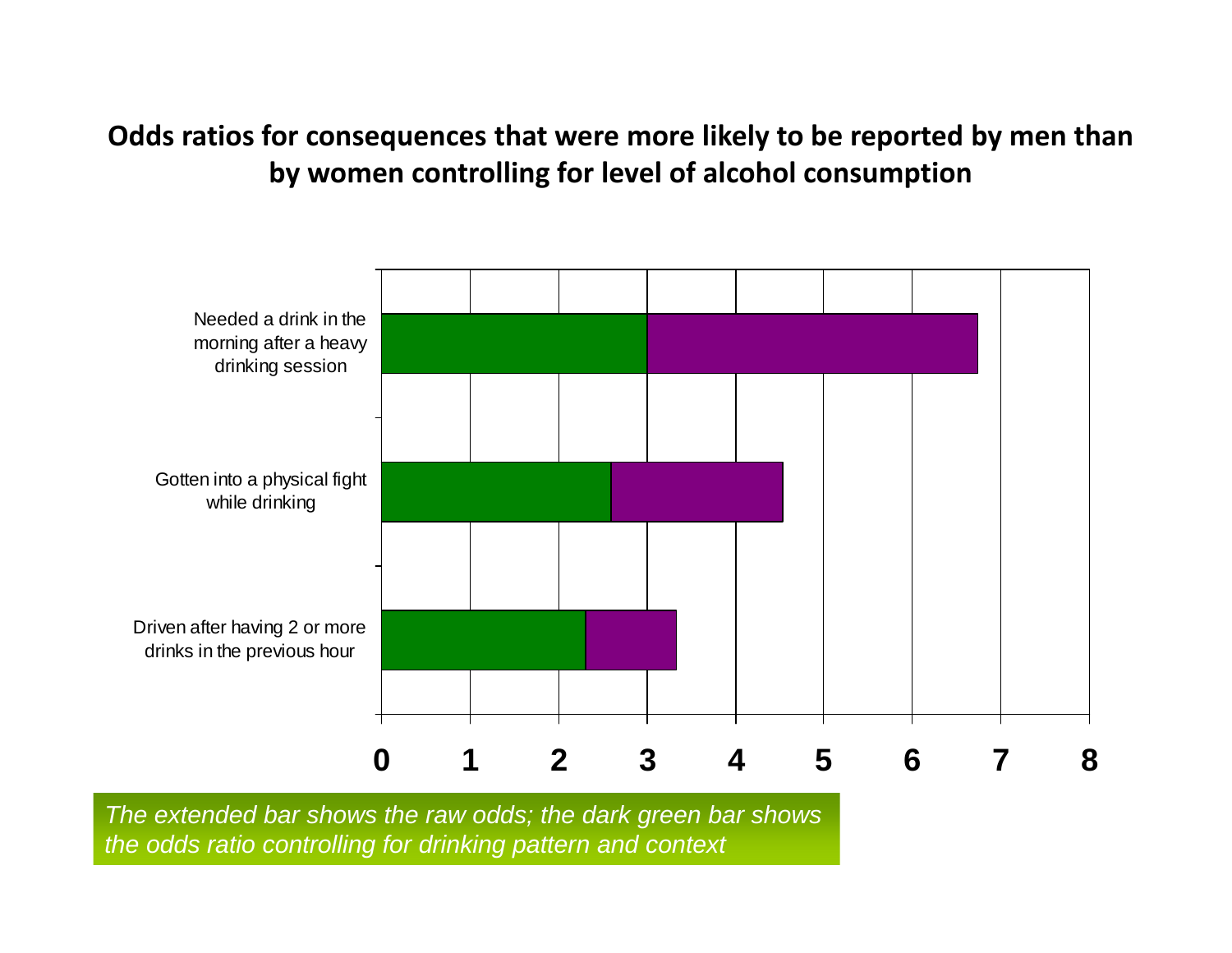### **Odds ratios for consequences that were more likely to be reported by men than by women controlling for level of alcohol consumption**



*The extended bar shows the raw odds; the dark green bar shows the odds ratio controlling for drinking pattern and context*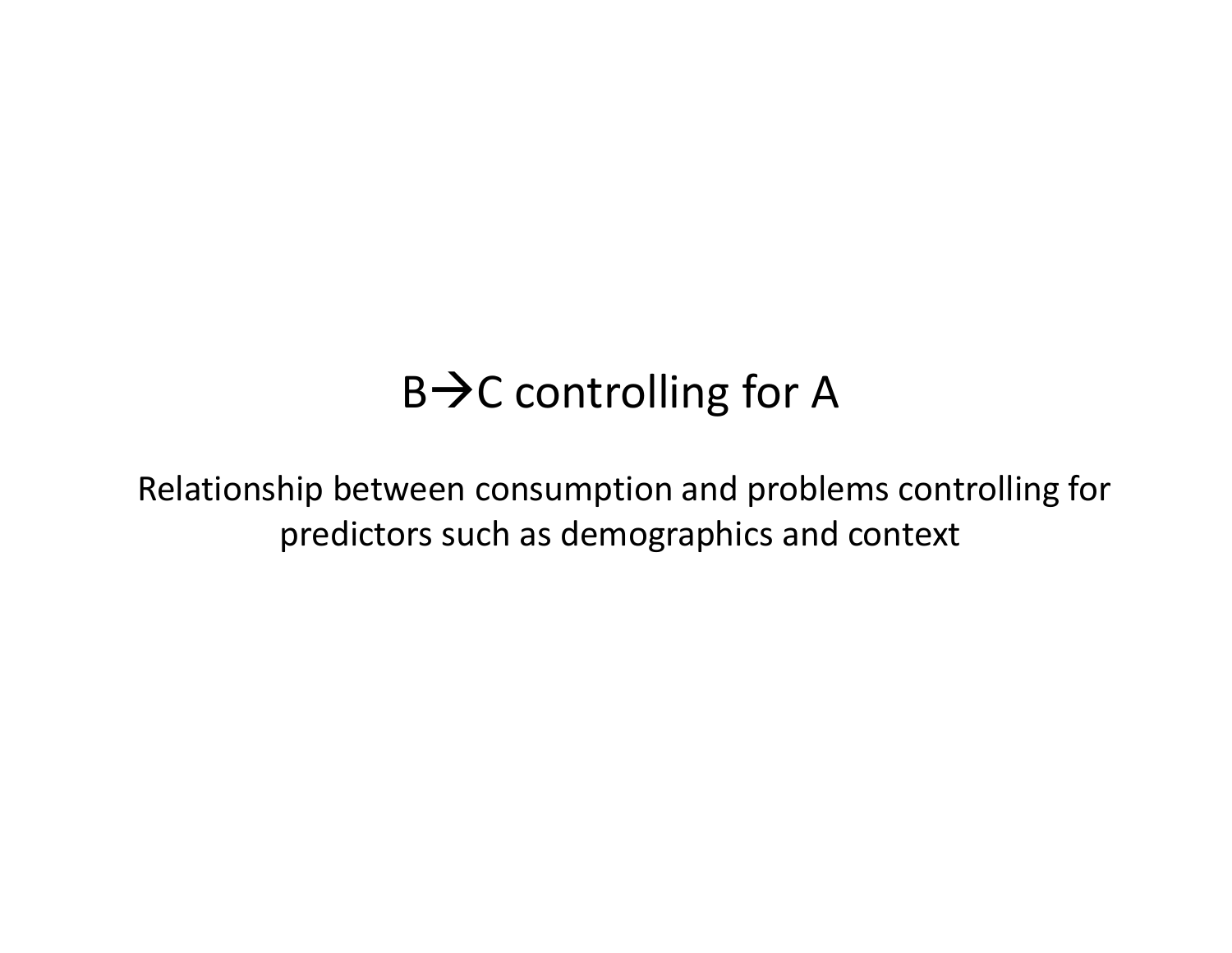# B $\bm{\rightarrow}$ C controlling for A

Relationship between consumption and problems controlling for predictors such as demographics and context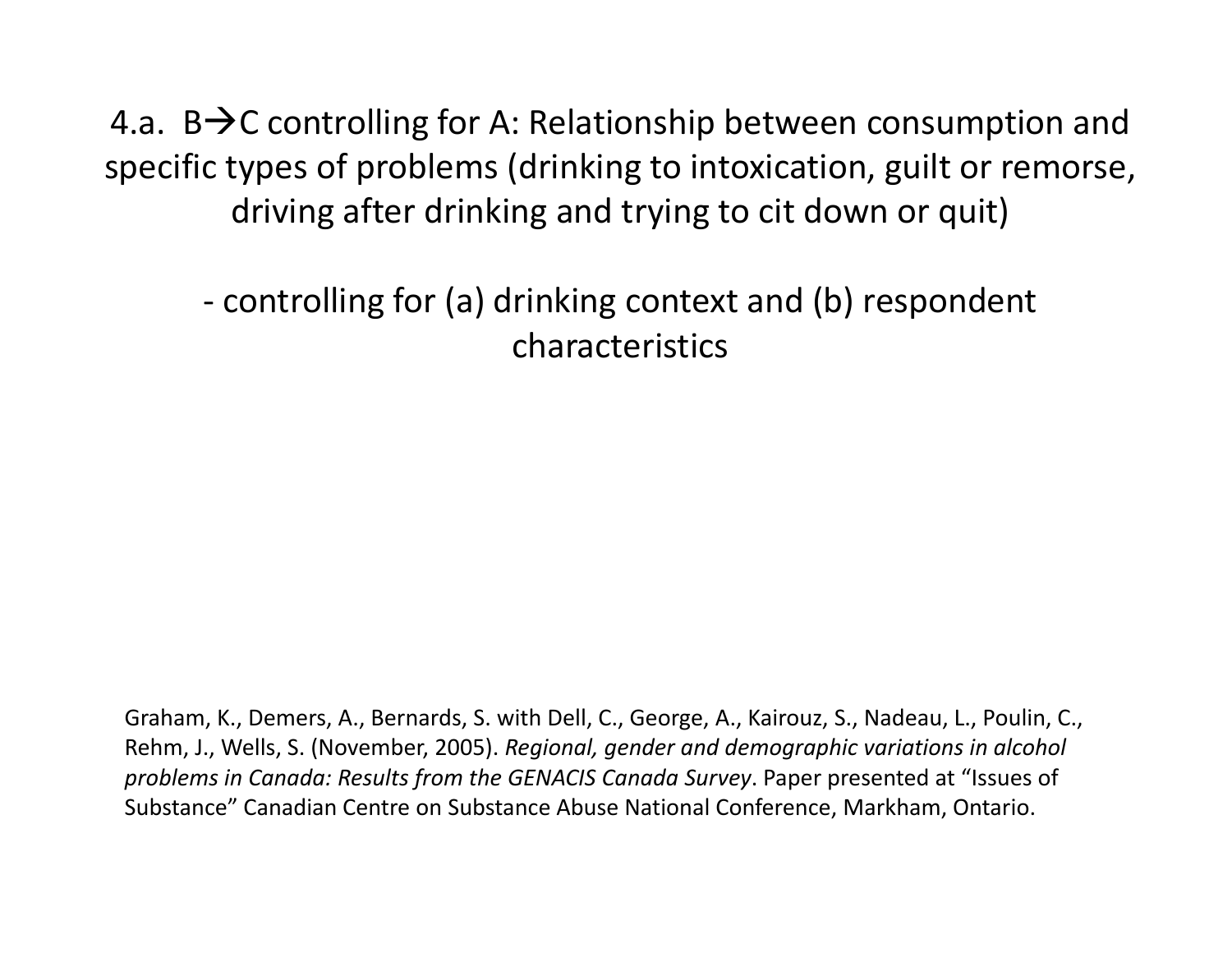4.a. B $\rightarrow$ C controlling for A: Relationship between consumption and specific types of problems (drinking to intoxication, guilt or remorse, driving after drinking and trying to cit down or quit)

‐ controlling for (a) drinking context and (b) respondent characteristics

Graham, K., Demers, A., Bernards, S. with Dell, C., George, A., Kairouz, S., Nadeau, L., Poulin, C., Rehm, J., Wells, S. (November, 2005). *Regional, gender and demographic variations in alcohol problems in Canada: Results from the GENACIS Canada Survey*. Paper presented at "Issues of Substance" Canadian Centre on Substance Abuse National Conference, Markham, Ontario.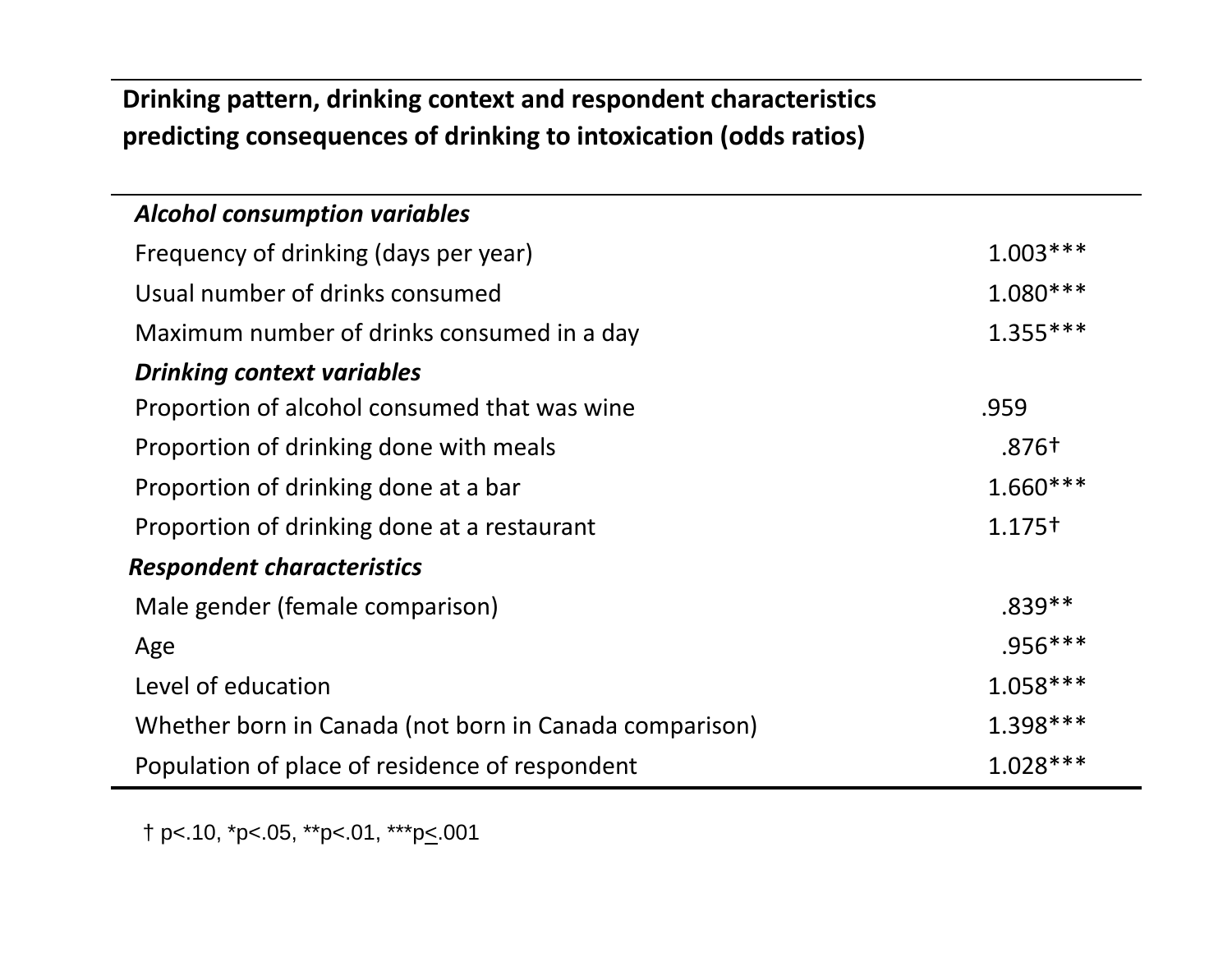#### **Drinking pattern, drinking context and respondent characteristics predicting consequences of drinking to intoxication (odds ratios)**

| <b>Alcohol consumption variables</b>                   |                    |
|--------------------------------------------------------|--------------------|
| Frequency of drinking (days per year)                  | $1.003***$         |
| Usual number of drinks consumed                        | $1.080***$         |
| Maximum number of drinks consumed in a day             | $1.355***$         |
| <b>Drinking context variables</b>                      |                    |
| Proportion of alcohol consumed that was wine           | .959               |
| Proportion of drinking done with meals                 | .876†              |
| Proportion of drinking done at a bar                   | $1.660***$         |
| Proportion of drinking done at a restaurant            | 1.175 <sup>†</sup> |
| <b>Respondent characteristics</b>                      |                    |
| Male gender (female comparison)                        | $.839**$           |
| Age                                                    | $.956***$          |
| Level of education                                     | $1.058***$         |
| Whether born in Canada (not born in Canada comparison) | 1.398 ***          |
| Population of place of residence of respondent         | $1.028***$         |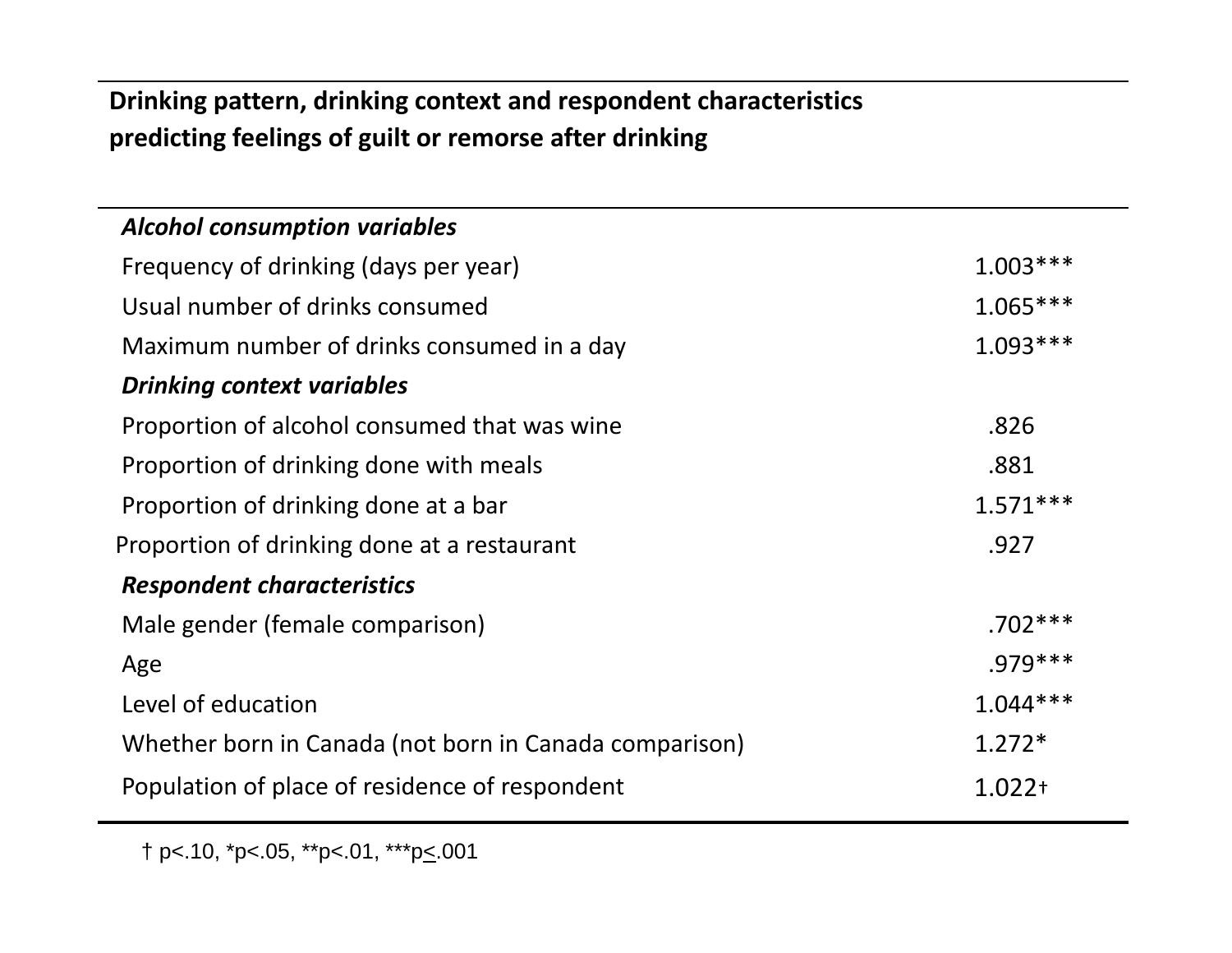### **Drinking pattern, drinking context and respondent characteristics predicting feelings of guilt or remorse after drinking**

| <b>Alcohol consumption variables</b>                   |            |
|--------------------------------------------------------|------------|
| Frequency of drinking (days per year)                  | $1.003***$ |
| Usual number of drinks consumed                        | $1.065***$ |
| Maximum number of drinks consumed in a day             | $1.093***$ |
| <b>Drinking context variables</b>                      |            |
| Proportion of alcohol consumed that was wine           | .826       |
| Proportion of drinking done with meals                 | .881       |
| Proportion of drinking done at a bar                   | $1.571***$ |
| Proportion of drinking done at a restaurant            | .927       |
| <b>Respondent characteristics</b>                      |            |
| Male gender (female comparison)                        | $.702***$  |
| Age                                                    | $.979***$  |
| Level of education                                     | $1.044***$ |
| Whether born in Canada (not born in Canada comparison) | $1.272*$   |
| Population of place of residence of respondent         | $1.022 +$  |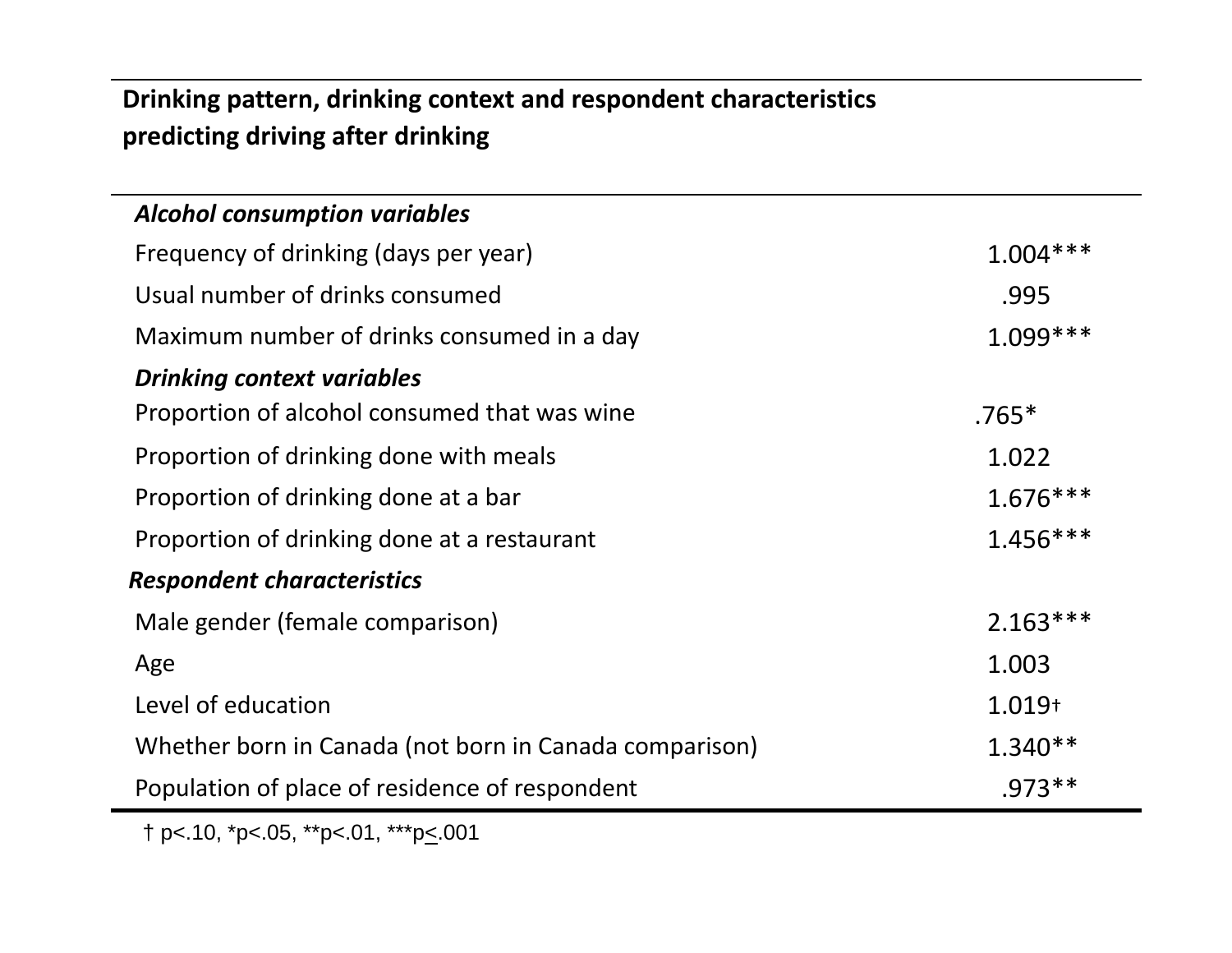#### **Drinking pattern, drinking context and respondent characteristics predicting driving after drinking**

| <b>Alcohol consumption variables</b>                   |            |
|--------------------------------------------------------|------------|
| Frequency of drinking (days per year)                  | $1.004***$ |
| Usual number of drinks consumed                        | .995       |
| Maximum number of drinks consumed in a day             | $1.099***$ |
| <b>Drinking context variables</b>                      |            |
| Proportion of alcohol consumed that was wine           | $.765*$    |
| Proportion of drinking done with meals                 | 1.022      |
| Proportion of drinking done at a bar                   | $1.676***$ |
| Proportion of drinking done at a restaurant            | $1.456***$ |
| <b>Respondent characteristics</b>                      |            |
| Male gender (female comparison)                        | $2.163***$ |
| Age                                                    | 1.003      |
| Level of education                                     | $1.019+$   |
| Whether born in Canada (not born in Canada comparison) | $1.340**$  |
| Population of place of residence of respondent         | $.973**$   |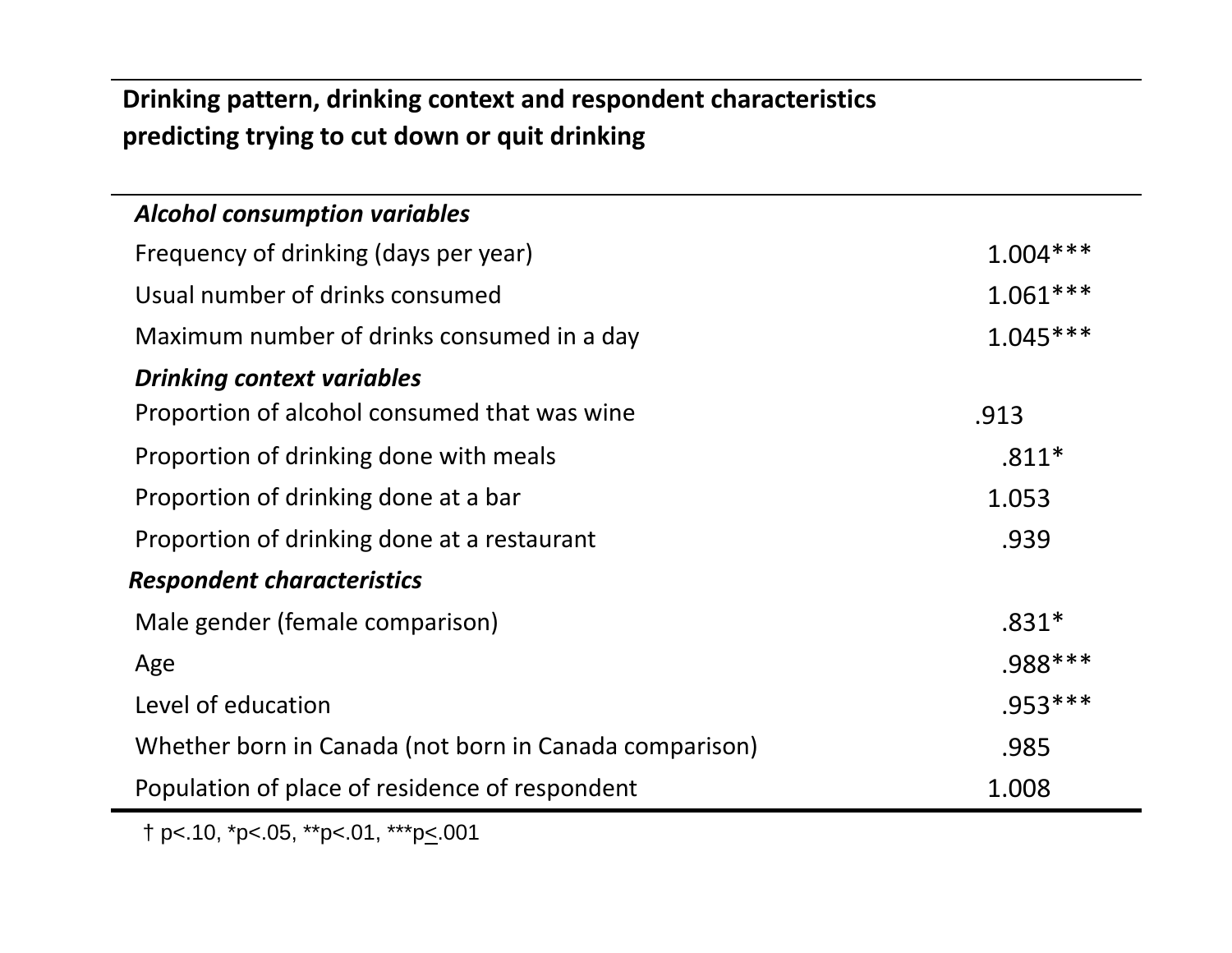#### **Drinking pattern, drinking context and respondent characteristics predicting trying to cut down or quit drinking**

| <b>Alcohol consumption variables</b>                   |            |
|--------------------------------------------------------|------------|
| Frequency of drinking (days per year)                  | $1.004***$ |
| Usual number of drinks consumed                        | $1.061***$ |
| Maximum number of drinks consumed in a day             | $1.045***$ |
| <b>Drinking context variables</b>                      |            |
| Proportion of alcohol consumed that was wine           | .913       |
| Proportion of drinking done with meals                 | $.811*$    |
| Proportion of drinking done at a bar                   | 1.053      |
| Proportion of drinking done at a restaurant            | .939       |
| <b>Respondent characteristics</b>                      |            |
| Male gender (female comparison)                        | $.831*$    |
| Age                                                    | $.988***$  |
| Level of education                                     | $.953***$  |
| Whether born in Canada (not born in Canada comparison) | .985       |
| Population of place of residence of respondent         | 1.008      |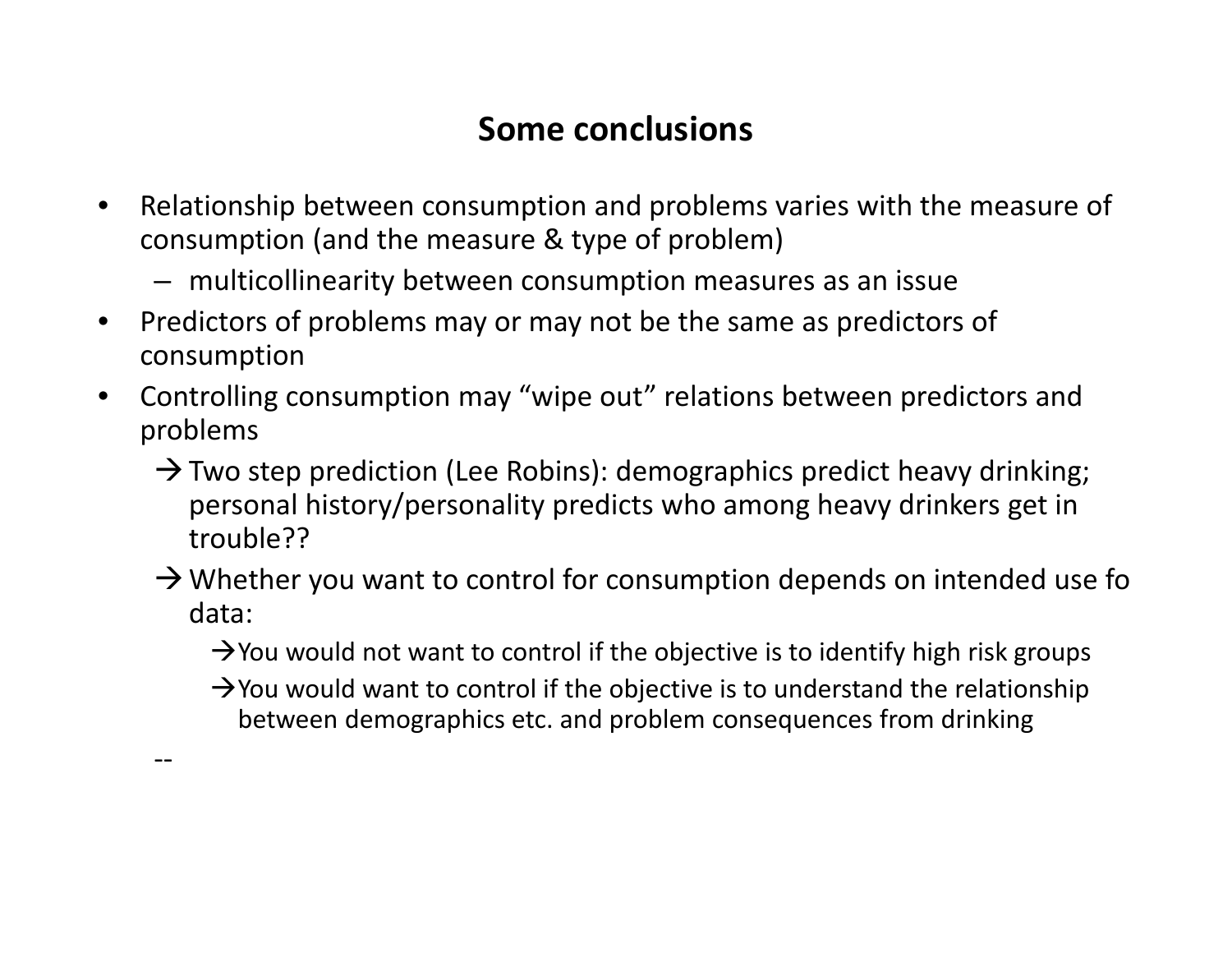# **Some conclusions**

- $\bullet$  Relationship between consumption and problems varies with the measure of consumption (and the measure & type of problem)
	- multicollinearity between consumption measures as an issue
- •• Predictors of problems may or may not be the same as predictors of consumption

‐‐

- • Controlling consumption may "wipe out" relations between predictors and problems
	- $\rightarrow$  Two step prediction (Lee Robins): demographics predict heavy drinking; personal history/personality predicts who among heavy drinkers get in trouble??
	- $\rightarrow$  Whether you want to control for consumption depends on intended use fo data:

 $\rightarrow$  You would not want to control if the objective is to identify high risk groups

 $\rightarrow$  You would want to control if the objective is to understand the relationship between demographics etc. and problem consequences from drinking